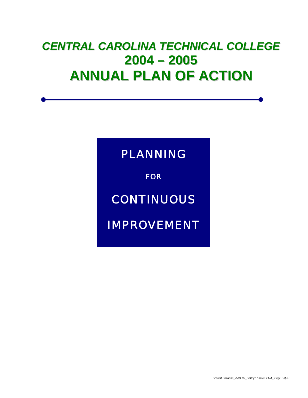# *CENTRAL CAROLINA TECHNICAL COLLEGE* **2004 – 2005 ANNUAL PLAN OF ACTION**

# PLANNING

**FOR** 

# **CONTINUOUS**

IMPROVEMENT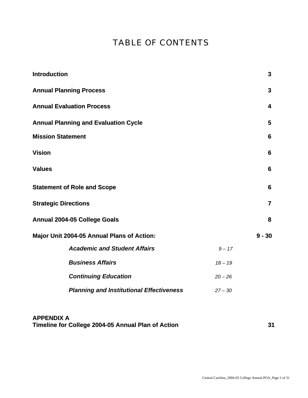# TABLE OF CONTENTS

| <b>Introduction</b>                                          | 3              |  |  |  |  |  |  |
|--------------------------------------------------------------|----------------|--|--|--|--|--|--|
| <b>Annual Planning Process</b>                               | 3              |  |  |  |  |  |  |
| <b>Annual Evaluation Process</b>                             | 4              |  |  |  |  |  |  |
| <b>Annual Planning and Evaluation Cycle</b>                  | 5              |  |  |  |  |  |  |
| <b>Mission Statement</b>                                     |                |  |  |  |  |  |  |
| <b>Vision</b>                                                | 6              |  |  |  |  |  |  |
| <b>Values</b>                                                |                |  |  |  |  |  |  |
| <b>Statement of Role and Scope</b>                           | 6              |  |  |  |  |  |  |
| <b>Strategic Directions</b>                                  | $\overline{7}$ |  |  |  |  |  |  |
| <b>Annual 2004-05 College Goals</b>                          | 8              |  |  |  |  |  |  |
| Major Unit 2004-05 Annual Plans of Action:                   | $9 - 30$       |  |  |  |  |  |  |
| <b>Academic and Student Affairs</b><br>$9 - 17$              |                |  |  |  |  |  |  |
| <b>Business Affairs</b><br>$18 - 19$                         |                |  |  |  |  |  |  |
| <b>Continuing Education</b><br>$20 - 26$                     |                |  |  |  |  |  |  |
| <b>Planning and Institutional Effectiveness</b><br>$27 - 30$ |                |  |  |  |  |  |  |

# **APPENDIX A Timeline for College 2004-05 Annual Plan of Action 31**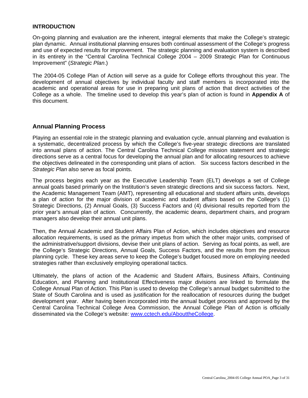#### **INTRODUCTION**

On-going planning and evaluation are the inherent, integral elements that make the College's strategic plan dynamic. Annual institutional planning ensures both continual assessment of the College's progress and use of expected results for improvement. The strategic planning and evaluation system is described in its entirety in the "Central Carolina Technical College 2004 – 2009 Strategic Plan for Continuous Improvement" (*Strategic Plan*.)

The 2004-05 College Plan of Action will serve as a guide for College efforts throughout this year. The development of annual objectives by individual faculty and staff members is incorporated into the academic and operational areas for use in preparing unit plans of action that direct activities of the College as a whole. The timeline used to develop this year's plan of action is found in **Appendix A** of this document.

### **Annual Planning Process**

Playing an essential role in the strategic planning and evaluation cycle, annual planning and evaluation is a systematic, decentralized process by which the College's five-year strategic directions are translated into annual plans of action. The Central Carolina Technical College mission statement and strategic directions serve as a central focus for developing the annual plan and for allocating resources to achieve the objectives delineated in the corresponding unit plans of action. Six success factors described in the *Strategic Plan* also serve as focal points.

The process begins each year as the Executive Leadership Team (ELT) develops a set of College annual goals based primarily on the Institution's seven strategic directions and six success factors. Next, the Academic Management Team (AMT), representing all educational and student affairs units, develops a plan of action for the major division of academic and student affairs based on the College's (1) Strategic Directions, (2) Annual Goals, (3) Success Factors and (4) divisional results reported from the prior year's annual plan of action. Concurrently, the academic deans, department chairs, and program managers also develop their annual unit plans.

Then, the Annual Academic and Student Affairs Plan of Action, which includes objectives and resource allocation requirements, is used as the primary impetus from which the other major units, comprised of the administrative/support divisions, devise their unit plans of action. Serving as focal points, as well, are the College's Strategic Directions, Annual Goals, Success Factors, and the results from the previous planning cycle. These key areas serve to keep the College's budget focused more on employing needed strategies rather than exclusively employing operational tactics.

Ultimately, the plans of action of the Academic and Student Affairs, Business Affairs, Continuing Education, and Planning and Institutional Effectiveness major divisions are linked to formulate the College Annual Plan of Action. This Plan is used to develop the College's annual budget submitted to the State of South Carolina and is used as justification for the reallocation of resources during the budget development year. After having been incorporated into the annual budget process and approved by the Central Carolina Technical College Area Commission, the Annual College Plan of Action is officially disseminated via the College's website: www.cctech.edu/AbouttheCollege.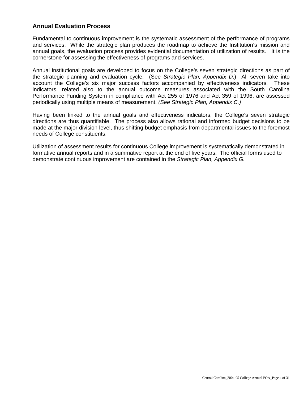### **Annual Evaluation Process**

Fundamental to continuous improvement is the systematic assessment of the performance of programs and services. While the strategic plan produces the roadmap to achieve the Institution's mission and annual goals, the evaluation process provides evidential documentation of utilization of results. It is the cornerstone for assessing the effectiveness of programs and services.

Annual institutional goals are developed to focus on the College's seven strategic directions as part of the strategic planning and evaluation cycle. (See *Strategic Plan, Appendix D*.) All seven take into account the College's six major success factors accompanied by effectiveness indicators. These indicators, related also to the annual outcome measures associated with the South Carolina Performance Funding System in compliance with Act 255 of 1976 and Act 359 of 1996, are assessed periodically using multiple means of measurement. *(See Strategic Plan, Appendix C.)*

Having been linked to the annual goals and effectiveness indicators, the College's seven strategic directions are thus quantifiable. The process also allows rational and informed budget decisions to be made at the major division level, thus shifting budget emphasis from departmental issues to the foremost needs of College constituents.

Utilization of assessment results for continuous College improvement is systematically demonstrated in formative annual reports and in a summative report at the end of five years. The official forms used to demonstrate continuous improvement are contained in the *Strategic Plan, Appendix G.*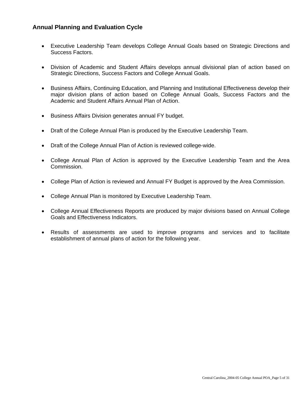### **Annual Planning and Evaluation Cycle**

- Executive Leadership Team develops College Annual Goals based on Strategic Directions and Success Factors.
- Division of Academic and Student Affairs develops annual divisional plan of action based on Strategic Directions, Success Factors and College Annual Goals.
- Business Affairs, Continuing Education, and Planning and Institutional Effectiveness develop their major division plans of action based on College Annual Goals, Success Factors and the Academic and Student Affairs Annual Plan of Action.
- Business Affairs Division generates annual FY budget.
- Draft of the College Annual Plan is produced by the Executive Leadership Team.
- Draft of the College Annual Plan of Action is reviewed college-wide.
- College Annual Plan of Action is approved by the Executive Leadership Team and the Area Commission.
- College Plan of Action is reviewed and Annual FY Budget is approved by the Area Commission.
- College Annual Plan is monitored by Executive Leadership Team.
- College Annual Effectiveness Reports are produced by major divisions based on Annual College Goals and Effectiveness Indicators.
- Results of assessments are used to improve programs and services and to facilitate establishment of annual plans of action for the following year.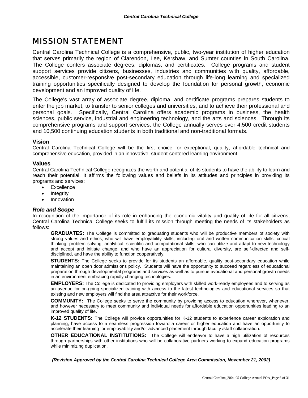# MISSION STATEMENT

Central Carolina Technical College is a comprehensive, public, two-year institution of higher education that serves primarily the region of Clarendon, Lee, Kershaw, and Sumter counties in South Carolina. The College confers associate degrees, diplomas, and certificates. College programs and student support services provide citizens, businesses, industries and communities with quality, affordable, accessible, customer-responsive post-secondary education through life-long learning and specialized training opportunities specifically designed to develop the foundation for personal growth, economic development and an improved quality of life.

The College's vast array of associate degree, diploma, and certificate programs prepares students to enter the job market, to transfer to senior colleges and universities, and to achieve their professional and personal goals. Specifically, Central Carolina offers academic programs in business, the health sciences, public service, industrial and engineering technology, and the arts and sciences. Through its comprehensive programs and support services, the College annually serves over 4,500 credit students and 10,500 continuing education students in both traditional and non-traditional formats.

#### **Vision**

Central Carolina Technical College will be the first choice for exceptional, quality, affordable technical and comprehensive education, provided in an innovative, student-centered learning environment.

#### **Values**

Central Carolina Technical College recognizes the worth and potential of its students to have the ability to learn and reach their potential. It affirms the following values and beliefs in its attitudes and principles in providing its programs and services:

- Excellence
- **Integrity**
- Innovation

#### *Role and Scope*

In recognition of the importance of its role in enhancing the economic vitality and quality of life for all citizens, Central Carolina Technical College seeks to fulfill its mission through meeting the needs of its stakeholders as follows:

**GRADUATES:** The College is committed to graduating students who will be productive members of society with strong values and ethics; who will have employability skills, including oral and written communication skills, critical thinking, problem solving, analytical, scientific and computational skills; who can utilize and adapt to new technology and accept and initiate change; and who have an appreciation for cultural diversity, are self-directed and selfdisciplined, and have the ability to function cooperatively.

**STUDENTS:** The College seeks to provide for its students an affordable, quality post-secondary education while maintaining an open door admissions policy. Students will have the opportunity to succeed regardless of educational preparation through developmental programs and services as well as to pursue avocational and personal growth needs in an environment embracing rapidly changing technologies.

**EMPLOYERS:** The College is dedicated to providing employers with skilled work-ready employees and to serving as an avenue for on-going specialized training with access to the latest technologies and educational services so that existing and new employers will find the area attractive for their workforce.

**COMMUNITY:** The College seeks to serve the community by providing access to education wherever, whenever, and however necessary to meet community and individual needs for affordable education opportunities leading to an improved quality of life**.** 

**K-12 STUDENTS:** The College will provide opportunities for K-12 students to experience career exploration and planning, have access to a seamless progression toward a career or higher education and have an opportunity to accelerate their learning for employability and/or advanced placement through faculty /staff collaboration.

**OTHER EDUCATIONAL INSTITUTIONS:** The College will endeavor to have a high utilization of resources through partnerships with other institutions who will be collaborative partners working to expand education programs while minimizing duplication.

*(Revision Approved by the Central Carolina Technical College Area Commission, November 21, 2002)*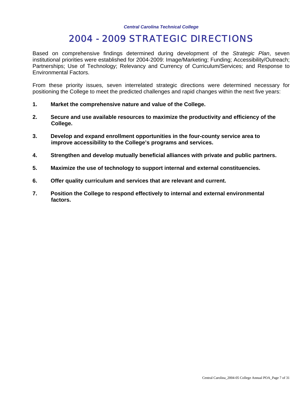# 2004 - 2009 STRATEGIC DIRECTIONS

Based on comprehensive findings determined during development of the *Strategic Plan*, seven institutional priorities were established for 2004-2009: Image/Marketing; Funding; Accessibility/Outreach; Partnerships; Use of Technology; Relevancy and Currency of Curriculum/Services; and Response to Environmental Factors.

From these priority issues, seven interrelated strategic directions were determined necessary for positioning the College to meet the predicted challenges and rapid changes within the next five years:

- **1. Market the comprehensive nature and value of the College.**
- **2. Secure and use available resources to maximize the productivity and efficiency of the College.**
- **3. Develop and expand enrollment opportunities in the four-county service area to improve accessibility to the College's programs and services.**
- **4. Strengthen and develop mutually beneficial alliances with private and public partners.**
- **5. Maximize the use of technology to support internal and external constituencies.**
- **6. Offer quality curriculum and services that are relevant and current.**
- **7. Position the College to respond effectively to internal and external environmental factors.**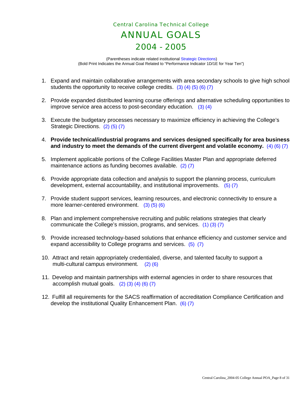# *Central Carolina Technical College*  ANNUAL GOALS 2004 - 2005

 (Parentheses indicate related institutional Strategic Directions) (Bold Print Indicates the Annual Goal Related to "Performance Indicator 1D/1E for Year Ten")

- 1. Expand and maintain collaborative arrangements with area secondary schools to give high school students the opportunity to receive college credits. (3) (4) (5) (6) (7)
- 2. Provide expanded distributed learning course offerings and alternative scheduling opportunities to improve service area access to post-secondary education. (3) (4)
- 3. Execute the budgetary processes necessary to maximize efficiency in achieving the College's Strategic Directions. (2) (5) (7)
- 4. **Provide technical/industrial programs and services designed specifically for area business and industry to meet the demands of the current divergent and volatile economy.** (4) (6) (7)
- 5. Implement applicable portions of the College Facilities Master Plan and appropriate deferred maintenance actions as funding becomes available. (2) (7)
- 6. Provide appropriate data collection and analysis to support the planning process, curriculum development, external accountability, and institutional improvements. (5) (7)
- 7. Provide student support services, learning resources, and electronic connectivity to ensure a more learner-centered environment. (3) (5) (6)
- 8. Plan and implement comprehensive recruiting and public relations strategies that clearly communicate the College's mission, programs, and services. (1) (3) (7)
- 9. Provide increased technology-based solutions that enhance efficiency and customer service and expand accessibility to College programs and services. (5) (7)
- 10. Attract and retain appropriately credentialed, diverse, and talented faculty to support a multi-cultural campus environment. (2) (6)
- 11. Develop and maintain partnerships with external agencies in order to share resources that accomplish mutual goals.  $(2)$   $(3)$   $(4)$   $(6)$   $(7)$
- 12. Fulfill all requirements for the SACS reaffirmation of accreditation Compliance Certification and develop the institutional Quality Enhancement Plan. (6) (7)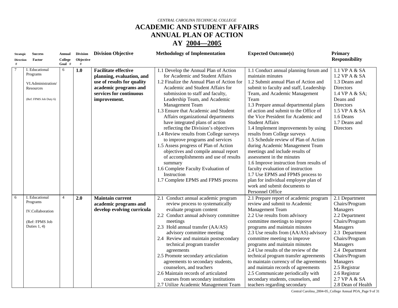# **ACADEMIC AND STUDENT AFFAIRS ANNUAL PLAN OF ACTION**

#### **AY 2004—2005**

| <b>Strategic</b> | <b>Success</b>                                                                             | Annual         | <b>Division</b> | <b>Division Objective</b>                                                                                                                                  | <b>Methodology of Implementation</b>                                                                                                                                                                                                                                                                                                                                                                                                                                                                                                                                                                                                                                                                                        | <b>Expected Outcome(s)</b>                                                                                                                                                                                                                                                                                                                                                                                                                                                                                                                                                                                                                                                                                                                              | <b>Primary</b>                                                                                                                                                                                                                                                        |
|------------------|--------------------------------------------------------------------------------------------|----------------|-----------------|------------------------------------------------------------------------------------------------------------------------------------------------------------|-----------------------------------------------------------------------------------------------------------------------------------------------------------------------------------------------------------------------------------------------------------------------------------------------------------------------------------------------------------------------------------------------------------------------------------------------------------------------------------------------------------------------------------------------------------------------------------------------------------------------------------------------------------------------------------------------------------------------------|---------------------------------------------------------------------------------------------------------------------------------------------------------------------------------------------------------------------------------------------------------------------------------------------------------------------------------------------------------------------------------------------------------------------------------------------------------------------------------------------------------------------------------------------------------------------------------------------------------------------------------------------------------------------------------------------------------------------------------------------------------|-----------------------------------------------------------------------------------------------------------------------------------------------------------------------------------------------------------------------------------------------------------------------|
| <b>Direction</b> | Factor                                                                                     | College        | Objective       |                                                                                                                                                            |                                                                                                                                                                                                                                                                                                                                                                                                                                                                                                                                                                                                                                                                                                                             |                                                                                                                                                                                                                                                                                                                                                                                                                                                                                                                                                                                                                                                                                                                                                         | <b>Responsibility</b>                                                                                                                                                                                                                                                 |
| #                |                                                                                            | Goal #         |                 |                                                                                                                                                            |                                                                                                                                                                                                                                                                                                                                                                                                                                                                                                                                                                                                                                                                                                                             |                                                                                                                                                                                                                                                                                                                                                                                                                                                                                                                                                                                                                                                                                                                                                         |                                                                                                                                                                                                                                                                       |
| $\overline{7}$   | I. Educational<br>Programs<br>VI.Administration/<br>Resources<br>(Ref: FPMS Job Duty 6)    | 6              | 1.0             | <b>Facilitate effective</b><br>planning, evaluation, and<br>use of results for quality<br>academic programs and<br>services for continuous<br>improvement. | 1.1 Develop the Annual Plan of Action<br>for Academic and Student Affairs<br>1.2 Finalize the Annual Plan of Action for<br>Academic and Student Affairs for<br>submission to staff and faculty,<br>Leadership Team, and Academic<br>Management Team<br>1.3 Ensure that Academic and Student<br>Affairs organizational departments<br>have integrated plans of action<br>reflecting the Division's objectives<br>1.4 Review results from College surveys<br>to improve programs and services<br>1.5 Assess progress of Plan of Action<br>objectives and compile annual report<br>of accomplishments and use of results<br>summary<br>1.6 Complete Faculty Evaluation of<br>Instruction<br>1.7 Complete EPMS and FPMS process | 1.1 Conduct annual planning forum and<br>maintain minutes<br>1.2 Submit annual Plan of Action and<br>submit to faculty and staff, Leadership<br>Team, and Academic Management<br>Team<br>1.3 Prepare annual departmental plans<br>of action and submit to the Office of<br>the Vice President for Academic and<br><b>Student Affairs</b><br>1.4 Implement improvements by using<br>results from College surveys<br>1.5 Schedule review of Plan of Action<br>during Academic Management Team<br>meetings and include results of<br>assessment in the minutes<br>1.6 Improve instruction from results of<br>faculty evaluation of instruction<br>1.7 Use EPMS and FPMS process to<br>plan for individual employee plan of<br>work and submit documents to | 1.1 VP A & SA<br>1.2 VP A & SA<br>1.3 Deans and<br>Directors<br>1.4 VP A & SA;<br>Deans and<br>Directors<br>1.5 VP A & SA<br>1.6 Deans<br>1.7 Deans and<br>Directors                                                                                                  |
| 6                | I. Educational<br>Programs<br><b>IV.Collaboration</b><br>(Ref: FPMS Job<br>Duties $1, 4$ ) | $\overline{4}$ | 2.0             | <b>Maintain current</b><br>academic programs and<br>develop evolving curricula                                                                             | 2.1 Conduct annual academic program<br>review process to systematically<br>evaluate program content<br>2.2 Conduct annual advisory committee<br>meetings<br>2.3 Hold annual transfer (AA/AS)<br>advisory committee meeting<br>2.4 Review and maintain postsecondary<br>technical program transfer<br>agreements<br>2.5 Promote secondary articulation<br>agreements to secondary students,<br>counselors, and teachers<br>2.6 Maintain records of articulated<br>courses from secondary institutions<br>2.7 Utilize Academic Management Team                                                                                                                                                                                | Personnel Office<br>2.1 Prepare report of academic program<br>review and submit to Academic<br>Management Team<br>2.2 Use results from advisory<br>committee meetings to improve<br>programs and maintain minutes<br>2.3 Use results from (AA/AS) advisory<br>committee meeting to improve<br>programs and maintain minutes<br>2.4 Use results of the review of the<br>technical program transfer agreements<br>to maintain currency of the agreements<br>and maintain records of agreements<br>2.5 Communicate periodically with<br>secondary students, counselors, and<br>teachers regarding secondary                                                                                                                                                | 2.1 Department<br>Chairs/Program<br>Managers<br>2.2 Department<br>Chairs/Program<br>Managers<br>2.3 Department<br>Chairs/Program<br>Managers<br>2.4 Department<br>Chairs/Program<br>Managers<br>2.5 Registrar<br>2.6 Registrar<br>2.7 VP A & SA<br>2.8 Dean of Health |

Central Carolina\_2004-05\_College Annual POA\_Page 9 of 31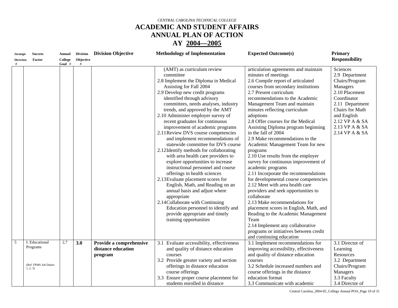## **ACADEMIC AND STUDENT AFFAIRS ANNUAL PLAN OF ACTION**

#### **AY 2004—2005**

| <b>Strategic</b> | <b>Success</b>                    | <b>Annual</b> | <b>Division</b> | <b>Division Objective</b>                                | <b>Methodology of Implementation</b>                                                                                                                                                                                                                                                                                                                                                                                                                                                                                                                                                                                                                                                                                                                                                                                                                                                                                                              | <b>Expected Outcome(s)</b>                                                                                                                                                                                                                                                                                                                                                                                                                                                                                                                                                                                                                                                                                                                                                                                                                                                                                                                                   | <b>Primary</b>                                                                                                                                                                                       |
|------------------|-----------------------------------|---------------|-----------------|----------------------------------------------------------|---------------------------------------------------------------------------------------------------------------------------------------------------------------------------------------------------------------------------------------------------------------------------------------------------------------------------------------------------------------------------------------------------------------------------------------------------------------------------------------------------------------------------------------------------------------------------------------------------------------------------------------------------------------------------------------------------------------------------------------------------------------------------------------------------------------------------------------------------------------------------------------------------------------------------------------------------|--------------------------------------------------------------------------------------------------------------------------------------------------------------------------------------------------------------------------------------------------------------------------------------------------------------------------------------------------------------------------------------------------------------------------------------------------------------------------------------------------------------------------------------------------------------------------------------------------------------------------------------------------------------------------------------------------------------------------------------------------------------------------------------------------------------------------------------------------------------------------------------------------------------------------------------------------------------|------------------------------------------------------------------------------------------------------------------------------------------------------------------------------------------------------|
| <b>Direction</b> | Factor                            | College       | Objective       |                                                          |                                                                                                                                                                                                                                                                                                                                                                                                                                                                                                                                                                                                                                                                                                                                                                                                                                                                                                                                                   |                                                                                                                                                                                                                                                                                                                                                                                                                                                                                                                                                                                                                                                                                                                                                                                                                                                                                                                                                              | <b>Responsibility</b>                                                                                                                                                                                |
| #                |                                   | Goal #        | #               |                                                          | (AMT) as curriculum review<br>committee<br>2.8 Implement the Diploma in Medical<br>Assisting for Fall 2004<br>2.9 Develop new credit programs<br>identified through advisory<br>committees, needs analyses, industry<br>trends, and approved by the AMT<br>2.10 Administer employer survey of<br>recent graduates for continuous<br>improvement of academic programs<br>2.11 Review DVS course competencies<br>and implement recommendations of<br>statewide committee for DVS course<br>2.12Identify methods for collaborating<br>with area health care providers to<br>explore opportunities to increase<br>instructional personnel and course<br>offerings in health sciences<br>2.13 Evaluate placement scores for<br>English, Math, and Reading on an<br>annual basis and adjust where<br>appropriate<br>2.14 Collaborate with Continuing<br>Education personnel to identify and<br>provide appropriate and timely<br>training opportunities | articulation agreements and maintain<br>minutes of meetings<br>2.6 Compile report of articulated<br>courses from secondary institutions<br>2.7 Present curriculum<br>recommendations to the Academic<br>Management Team and maintain<br>minutes reflecting curriculum<br>adoptions<br>2.8 Offer courses for the Medical<br>Assisting Diploma program beginning<br>in the fall of 2004<br>2.9 Make recommendations to the<br>Academic Management Team for new<br>programs<br>2.10 Use results from the employer<br>survey for continuous improvement of<br>academic programs<br>2.11 Incorporate the recommendations<br>for developmental course competencies<br>2.12 Meet with area health care<br>providers and seek opportunities to<br>collaborate<br>2.13 Make recommendations for<br>placement scores in English, Math, and<br>Reading to the Academic Management<br>Team<br>2.14 Implement any collaborative<br>programs or initiatives between credit | Sciences<br>2.9 Department<br>Chairs/Program<br>Managers<br>2.10 Placement<br>Coordinator<br>2.11 Department<br>Chairs for Math<br>and English<br>2.12 VP A & SA<br>2.13 VP A & SA<br>2.14 VP A & SA |
| 5                | I. Educational                    | 2,7           |                 |                                                          |                                                                                                                                                                                                                                                                                                                                                                                                                                                                                                                                                                                                                                                                                                                                                                                                                                                                                                                                                   | and continuing education                                                                                                                                                                                                                                                                                                                                                                                                                                                                                                                                                                                                                                                                                                                                                                                                                                                                                                                                     |                                                                                                                                                                                                      |
|                  | Programs                          |               | 3.0             | Provide a comprehensive<br>distance education<br>program | 3.1 Evaluate accessibility, effectiveness<br>and quality of distance education<br>courses<br>3.2 Provide greater variety and section                                                                                                                                                                                                                                                                                                                                                                                                                                                                                                                                                                                                                                                                                                                                                                                                              | 3.1 Implement recommendations for<br>improving accessibility, effectiveness<br>and quality of distance education<br>courses                                                                                                                                                                                                                                                                                                                                                                                                                                                                                                                                                                                                                                                                                                                                                                                                                                  | 3.1 Director of<br>Learning<br>Resources<br>3.2 Department                                                                                                                                           |
|                  | (Ref: FPMS Job Duties<br>1, 2, 3) |               |                 |                                                          | offerings in distance education                                                                                                                                                                                                                                                                                                                                                                                                                                                                                                                                                                                                                                                                                                                                                                                                                                                                                                                   | 3.2 Schedule increased numbers and                                                                                                                                                                                                                                                                                                                                                                                                                                                                                                                                                                                                                                                                                                                                                                                                                                                                                                                           | Chairs/Program                                                                                                                                                                                       |
|                  |                                   |               |                 |                                                          | course offerings<br>3.3 Ensure proper course placement for<br>students enrolled in distance                                                                                                                                                                                                                                                                                                                                                                                                                                                                                                                                                                                                                                                                                                                                                                                                                                                       | course offerings in the distance<br>education format<br>3.3 Communicate with academic                                                                                                                                                                                                                                                                                                                                                                                                                                                                                                                                                                                                                                                                                                                                                                                                                                                                        | Managers<br>3.3 Faculty<br>3.4 Director of                                                                                                                                                           |

Central Carolina\_2004-05\_College Annual POA\_Page 10 of 31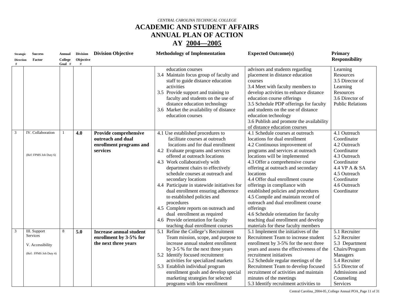# **ACADEMIC AND STUDENT AFFAIRS ANNUAL PLAN OF ACTION**

#### **AY 2004—2005**

| <b>Strategic</b> | <b>Success</b>                                                         | <b>Annual</b>     | <b>Division</b> | <b>Division Objective</b>                                                         | <b>Methodology of Implementation</b>                                                                                                                                                                                                                                                                                                                                                                                                                                                                                                                                                                 | <b>Expected Outcome(s)</b>                                                                                                                                                                                                                                                                                                                                                                                                                                                                                                                                                                  | Primary                                                                                                                                                                  |
|------------------|------------------------------------------------------------------------|-------------------|-----------------|-----------------------------------------------------------------------------------|------------------------------------------------------------------------------------------------------------------------------------------------------------------------------------------------------------------------------------------------------------------------------------------------------------------------------------------------------------------------------------------------------------------------------------------------------------------------------------------------------------------------------------------------------------------------------------------------------|---------------------------------------------------------------------------------------------------------------------------------------------------------------------------------------------------------------------------------------------------------------------------------------------------------------------------------------------------------------------------------------------------------------------------------------------------------------------------------------------------------------------------------------------------------------------------------------------|--------------------------------------------------------------------------------------------------------------------------------------------------------------------------|
| <b>Direction</b> | Factor                                                                 | College<br>Goal # | Objective<br>#  |                                                                                   |                                                                                                                                                                                                                                                                                                                                                                                                                                                                                                                                                                                                      |                                                                                                                                                                                                                                                                                                                                                                                                                                                                                                                                                                                             | <b>Responsibility</b>                                                                                                                                                    |
|                  |                                                                        |                   |                 |                                                                                   | education courses<br>3.4 Maintain focus group of faculty and<br>staff to guide distance education<br>activities<br>3.5 Provide support and training to<br>faculty and students on the use of<br>distance education technology<br>3.6 Market the availability of distance<br>education courses                                                                                                                                                                                                                                                                                                        | advisors and students regarding<br>placement in distance education<br>courses<br>3.4 Meet with faculty members to<br>develop activities to enhance distance<br>education course offerings<br>3.5 Schedule PDP offerings for faculty<br>and students on the use of distance<br>education technology<br>3.6 Publish and promote the availability                                                                                                                                                                                                                                              | Learning<br>Resources<br>3.5 Director of<br>Learning<br>Resources<br>3.6 Director of<br><b>Public Relations</b>                                                          |
|                  |                                                                        |                   |                 |                                                                                   |                                                                                                                                                                                                                                                                                                                                                                                                                                                                                                                                                                                                      | of distance education courses                                                                                                                                                                                                                                                                                                                                                                                                                                                                                                                                                               |                                                                                                                                                                          |
| 3                | IV. Collaboration<br>(Ref: FPMS Job Duty 6)                            |                   | 4.0             | Provide comprehensive<br>outreach and dual<br>enrollment programs and<br>services | 4.1 Use established procedures to<br>facilitate courses at outreach<br>locations and for dual enrollment<br>4.2 Evaluate programs and services<br>offered at outreach locations<br>4.3 Work collaboratively with<br>department chairs to effectively<br>schedule courses at outreach and<br>secondary locations<br>4.4 Participate in statewide initiatives for<br>dual enrollment ensuring adherence<br>to established policies and<br>procedures<br>4.5 Complete reports on outreach and<br>dual enrollment as required<br>4.6 Provide orientation for faculty<br>teaching dual enrollment courses | 4.1 Schedule courses at outreach<br>locations for dual enrollment<br>4.2 Continuous improvement of<br>programs and services at outreach<br>locations will be implemented<br>4.3 Offer a comprehensive course<br>offering at outreach and secondary<br>locations<br>4.4 Offer dual enrollment course<br>offerings in compliance with<br>established policies and procedures<br>4.5 Compile and maintain record of<br>outreach and dual enrollment course<br>offerings<br>4.6 Schedule orientation for faculty<br>teaching dual enrollment and develop<br>materials for these faculty members | 4.1 Outreach<br>Coordinator<br>4.2 Outreach<br>Coordinator<br>4.3 Outreach<br>Coordinator<br>4.4 VP A & SA<br>4.5 Outreach<br>Coordinator<br>4.6 Outreach<br>Coordinator |
| 3                | III. Support<br>Services<br>V. Accessibility<br>(Ref: FPMS Job Duty 4) | 8                 | 5.0             | <b>Increase annual student</b><br>enrollment by 3-5% for<br>the next three years  | 5.1 Refine the College's Recruitment<br>Team mission, scope, and purpose to<br>increase annual student enrollment<br>by 3-5 % for the next three years<br>5.2 Identify focused recruitment<br>activities for specialized markets<br>5.3 Establish individual program<br>enrollment goals and develop special<br>marketing strategies for selected<br>programs with low enrollment                                                                                                                                                                                                                    | 5.1 Implement the initiatives of the<br>Recruitment Team to increase student<br>enrollment by 3-5% for the next three<br>years and assess the effectiveness of the<br>recruitment initiatives<br>5.2 Schedule regular meetings of the<br>Recruitment Team to develop focused<br>recruitment of activities and maintain<br>minutes of the meetings<br>5.3 Identify recruitment activities to                                                                                                                                                                                                 | 5.1 Recruiter<br>5.2 Recruiter<br>5.3 Department<br>Chairs/Program<br>Managers<br>5.4 Recruiter<br>5.5 Director of<br>Admissions and<br>Counseling<br>Services           |

Central Carolina\_2004-05\_College Annual POA\_Page 11 of 31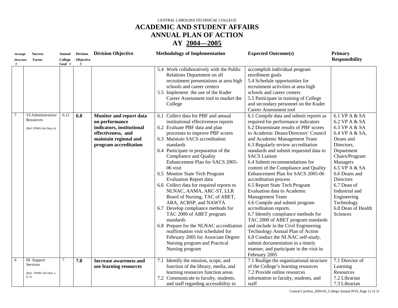## **ACADEMIC AND STUDENT AFFAIRS ANNUAL PLAN OF ACTION**

| <b>Strategic</b><br><b>Direction</b> | <b>Success</b><br>Factor                                     | <b>Annual</b><br>College<br>Goal # | <b>Division</b><br>Objective<br># | <b>Division Objective</b>                                                                                                                      | <b>Methodology of Implementation</b>                                                                                                                                                                                                                                                                                                                                                                                                                                                                                                                                                                                                                                                                                                                                             | <b>Expected Outcome(s)</b>                                                                                                                                                                                                                                                                                                                                                                                                                                                                                                                                                                                                                                                                                                                                                                                                                                                                  | <b>Primary</b><br><b>Responsibility</b>                                                                                                                                                                                                                                                        |
|--------------------------------------|--------------------------------------------------------------|------------------------------------|-----------------------------------|------------------------------------------------------------------------------------------------------------------------------------------------|----------------------------------------------------------------------------------------------------------------------------------------------------------------------------------------------------------------------------------------------------------------------------------------------------------------------------------------------------------------------------------------------------------------------------------------------------------------------------------------------------------------------------------------------------------------------------------------------------------------------------------------------------------------------------------------------------------------------------------------------------------------------------------|---------------------------------------------------------------------------------------------------------------------------------------------------------------------------------------------------------------------------------------------------------------------------------------------------------------------------------------------------------------------------------------------------------------------------------------------------------------------------------------------------------------------------------------------------------------------------------------------------------------------------------------------------------------------------------------------------------------------------------------------------------------------------------------------------------------------------------------------------------------------------------------------|------------------------------------------------------------------------------------------------------------------------------------------------------------------------------------------------------------------------------------------------------------------------------------------------|
|                                      |                                                              |                                    |                                   |                                                                                                                                                | 5.4 Work collaboratively with the Public<br>Relations Department on all<br>recruitment presentations at area high<br>schools and career centers<br>5.5 Implement the use of the Kuder<br>Career Assessment tool to market the<br>College                                                                                                                                                                                                                                                                                                                                                                                                                                                                                                                                         | accomplish individual program<br>enrollment goals<br>5.4 Schedule opportunities for<br>recruitment activities at area high<br>schools and career centers<br>5.5 Participate in training of College<br>and secondary personnel on the Kuder<br>Career Assessment tool                                                                                                                                                                                                                                                                                                                                                                                                                                                                                                                                                                                                                        |                                                                                                                                                                                                                                                                                                |
| $\tau$                               | VI.Administration/<br>Resources<br>(Ref: FPMS Job Duty 6)    | 6,12                               | 6.0                               | Monitor and report data<br>on performance<br>indicators, institutional<br>effectiveness, and<br>maintain regional and<br>program accreditation | 6.1 Collect data for PBF and annual<br>institutional effectiveness reports<br>6.2 Evaluate PBF data and plan<br>processes to improve PBF scores<br>6.3 Maintain SACS accreditation<br>standards<br>6.4 Participate in preparation of the<br>Compliance and Quality<br>Enhancement Plan for SACS 2005-<br>06 visit<br>6.5 Monitor State Tech Program<br><b>Evaluation Report data</b><br>6.6 Collect data for required reports to<br>NLNAC, AAMA, ARC-ST, LLR<br>Board of Nursing, TAC of ABET,<br>ABA, ACBSP, and NAWTA<br>6.7 Develop compliance methods for<br>TAC 2000 of ABET program<br>standards<br>6.8 Prepare for the NLNAC accreditation<br>reaffirmation visit scheduled for<br>February 2005 for Associate Degree<br>Nursing program and Practical<br>Nursing program | 6.1 Compile data and submit reports as<br>required for performance indicators<br>6.2 Disseminate results of PBF scores<br>to Academic Deans/Directors' Council<br>and Academic Management Team<br>6.3 Regularly review accreditation<br>standards and submit requested data to<br><b>SACS</b> Liaison<br>6.4 Submit recommendations for<br>content of the Compliance and Quality<br>Enhancement Plan for SACS 2005-06<br>accreditation process<br>6.5 Report State Tech Program<br>Evaluation data to Academic<br>Management Team<br>6.6 Compile and submit program<br>accreditation reports.<br>6.7 Identify compliance methods for<br>TAC 2000 of ABET program standards<br>and include in the Civil Engineering<br>Technology Annual Plan of Action<br>6.8 Conduct the NLNAC self-study,<br>submit documentation in a timely<br>manner, and participate in the visit in<br>February 2005 | 6.1 VP A & SA<br>6.2 VP A & SA<br>6.3 VP A & SA<br>6.4 VP A & SA,<br>Deans and<br>Directors,<br>Department<br>Chairs/Program<br>Managers<br>6.5 VP A & SA<br>6.6 Deans and<br><b>Directors</b><br>6.7 Dean of<br>Industrial and<br>Engineering<br>Technology<br>6.8 Dean of Health<br>Sciences |
| 6                                    | III. Support<br>Services<br>(Ref: FPMS Job Duty 1,<br>(6, 2) | $7\phantom{.0}$                    | 7.0                               | <b>Increase awareness and</b><br>use learning resources                                                                                        | Identify the mission, scope, and<br>7.1<br>function of the library, media, and<br>learning resources function areas<br>7.2 Communicate to faculty, students,<br>and staff regarding accessibility to                                                                                                                                                                                                                                                                                                                                                                                                                                                                                                                                                                             | 7.1 Realign the organizational structure<br>of the College's learning resources<br>7.2 Provide online resources<br>information to faculty, students, and<br>staff                                                                                                                                                                                                                                                                                                                                                                                                                                                                                                                                                                                                                                                                                                                           | 7.1 Director of<br>Learning<br>Resources<br>7.2 Librarian<br>7.3 Librarian                                                                                                                                                                                                                     |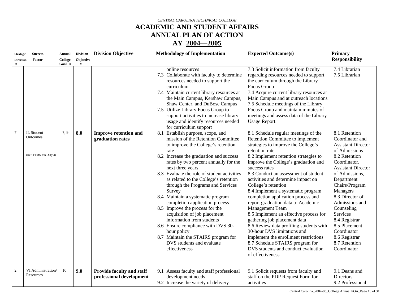# **ACADEMIC AND STUDENT AFFAIRS ANNUAL PLAN OF ACTION**

| <b>Strategic</b><br><b>Direction</b> | <b>Success</b><br>Factor                          | Annual<br>College<br>Goal # | <b>Division</b><br>Objective<br># | <b>Division Objective</b>                             | <b>Methodology of Implementation</b><br><b>Expected Outcome(s)</b>                                                                                                                                                                                                                                                                                                                                                                                                                                                                                                                                                                                                                                                                                                                                                                                                                                                                                                                                                                                                                                                                                                                                                                                                                                                                                                                                                                                                | Primary<br><b>Responsibility</b>                                                                                                                                                                                                                                                                                                                                            |
|--------------------------------------|---------------------------------------------------|-----------------------------|-----------------------------------|-------------------------------------------------------|-------------------------------------------------------------------------------------------------------------------------------------------------------------------------------------------------------------------------------------------------------------------------------------------------------------------------------------------------------------------------------------------------------------------------------------------------------------------------------------------------------------------------------------------------------------------------------------------------------------------------------------------------------------------------------------------------------------------------------------------------------------------------------------------------------------------------------------------------------------------------------------------------------------------------------------------------------------------------------------------------------------------------------------------------------------------------------------------------------------------------------------------------------------------------------------------------------------------------------------------------------------------------------------------------------------------------------------------------------------------------------------------------------------------------------------------------------------------|-----------------------------------------------------------------------------------------------------------------------------------------------------------------------------------------------------------------------------------------------------------------------------------------------------------------------------------------------------------------------------|
|                                      |                                                   |                             |                                   |                                                       | 7.3 Solicit information from faculty<br>online resources<br>7.3 Collaborate with faculty to determine<br>regarding resources needed to support<br>the curriculum through the Library<br>resources needed to support the<br>curriculum<br>Focus Group<br>7.4 Maintain current library resources at<br>7.4 Acquire current library resources at<br>Main Campus and at outreach locations<br>the Main Campus, Kershaw Campus<br>Shaw Center, and DuBose Campus<br>7.5 Schedule meetings of the Library<br>7.5 Utilize Library Focus Group to<br>Focus Group and maintain minutes of<br>support activities to increase library<br>meetings and assess data of the Library<br>usage and identify resources needed<br>Usage Report.<br>for curriculum support                                                                                                                                                                                                                                                                                                                                                                                                                                                                                                                                                                                                                                                                                                           | 7.4 Librarian<br>7.5 Librarian                                                                                                                                                                                                                                                                                                                                              |
|                                      | II. Student<br>Outcomes<br>(Ref: FPMS Job Duty 3) | 7,9                         | 8.0                               | <b>Improve retention and</b><br>graduation rates      | 8.1 Establish purpose, scope, and<br>8.1 Schedule regular meetings of the<br>Retention Committee to implement<br>mission of the Retention Committee<br>strategies to improve the College's<br>to improve the College's retention<br>retention rate<br>rate<br>8.2 Implement retention strategies to<br>8.2 Increase the graduation and success<br>rates by two percent annually for the<br>improve the College's graduation and<br>next three years<br>success rates<br>8.3 Evaluate the role of student activities<br>8.3 Conduct an assessment of student<br>as related to the College's retention<br>activities and determine impact on<br>through the Programs and Services<br>College's retention<br>8.4 Implement a systematic program<br>Survey<br>8.4 Maintain a systematic program<br>completion application process and<br>completion application process<br>report graduation data to Academic<br>8.5 Improve the process for the<br>Management Team<br>acquisition of job placement<br>8.5 Implement an effective process for<br>information from students<br>gathering job placement data<br>8.6 Review data profiling students with<br>8.6 Ensure compliance with DVS 30-<br>30-hour DVS limitations and<br>hour policy<br>8.7 Maintain the STAIRS program for<br>implement the enrollment restrictions<br>DVS students and evaluate<br>8.7 Schedule STAIRS program for<br>DVS students and conduct evaluation<br>effectiveness<br>of effectiveness | 8.1 Retention<br>Coordinator and<br><b>Assistant Director</b><br>of Admissions<br>8.2 Retention<br>Coordinator,<br><b>Assistant Director</b><br>of Admissions,<br>Department<br>Chairs/Program<br>Managers<br>8.3 Director of<br>Admissions and<br>Counseling<br>Services<br>8.4 Registrar<br>8.5 Placement<br>Coordinator<br>8.6 Registrar<br>8.7 Retention<br>Coordinator |
| 2                                    | VI.Administration/<br>Resources                   | 10                          | 9.0                               | Provide faculty and staff<br>professional development | 9.1 Solicit requests from faculty and<br>9.1 Assess faculty and staff professional<br>development needs<br>staff on the PDP Request Form for<br>9.2 Increase the variety of delivery<br>activities                                                                                                                                                                                                                                                                                                                                                                                                                                                                                                                                                                                                                                                                                                                                                                                                                                                                                                                                                                                                                                                                                                                                                                                                                                                                | 9.1 Deans and<br>Directors<br>9.2 Professional                                                                                                                                                                                                                                                                                                                              |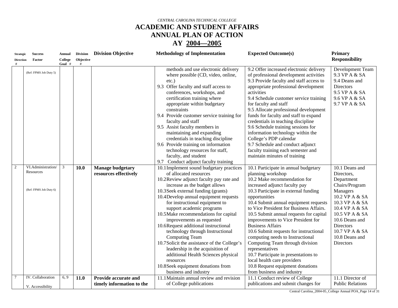# **ACADEMIC AND STUDENT AFFAIRS ANNUAL PLAN OF ACTION**

#### **AY 2004—2005**

| <b>Success</b><br><b>Strategic</b> |                                                           | <b>Annual</b>  | <b>Division</b> | <b>Division Objective</b>                        | <b>Methodology of Implementation</b>                                                                                                                                                                                                                                                                                                                                                                                                                                                                                                                                                                                                                                     | <b>Expected Outcome(s)</b>                                                                                                                                                                                                                                                                                                                                                                                                                                                                                                                                                                                                                                       | <b>Primary</b>                                                                                                                                                                                                                          |
|------------------------------------|-----------------------------------------------------------|----------------|-----------------|--------------------------------------------------|--------------------------------------------------------------------------------------------------------------------------------------------------------------------------------------------------------------------------------------------------------------------------------------------------------------------------------------------------------------------------------------------------------------------------------------------------------------------------------------------------------------------------------------------------------------------------------------------------------------------------------------------------------------------------|------------------------------------------------------------------------------------------------------------------------------------------------------------------------------------------------------------------------------------------------------------------------------------------------------------------------------------------------------------------------------------------------------------------------------------------------------------------------------------------------------------------------------------------------------------------------------------------------------------------------------------------------------------------|-----------------------------------------------------------------------------------------------------------------------------------------------------------------------------------------------------------------------------------------|
| <b>Direction</b>                   | Factor                                                    | College        | Objective       |                                                  |                                                                                                                                                                                                                                                                                                                                                                                                                                                                                                                                                                                                                                                                          |                                                                                                                                                                                                                                                                                                                                                                                                                                                                                                                                                                                                                                                                  | <b>Responsibility</b>                                                                                                                                                                                                                   |
|                                    | (Ref: FPMS Job Duty 5)                                    | Goal #         | #               |                                                  | methods and use electronic delivery<br>where possible (CD, video, online,<br>$etc.$ )<br>9.3 Offer faculty and staff access to<br>conferences, workshops, and<br>certification training where<br>appropriate within budgetary<br>constraints<br>9.4 Provide customer service training for<br>faculty and staff<br>9.5 Assist faculty members in<br>maintaining and expanding<br>credentials in teaching discipline<br>9.6 Provide training on information<br>technology resources for staff,<br>faculty, and student<br>Conduct adjunct faculty training<br>9.7                                                                                                          | 9.2 Offer increased electronic delivery<br>of professional development activities<br>9.3 Provide faculty and staff access to<br>appropriate professional development<br>activities<br>9.4 Schedule customer service training<br>for faculty and staff<br>9.5 Allocate professional development<br>funds for faculty and staff to expand<br>credentials in teaching discipline<br>9.6 Schedule training sessions for<br>information technology within the<br>College's PDP calendar<br>9.7 Schedule and conduct adjunct<br>faculty training each semester and<br>maintain minutes of training                                                                     | Development Team<br>9.3 VP A & SA<br>9.4 Deans and<br>Directors<br>9.5 VP A & SA<br>9.6 VP A & SA<br>9.7 VP A & SA                                                                                                                      |
| $\overline{c}$                     | VI.Administration/<br>Resources<br>(Ref: FPMS Job Duty 6) | $\overline{3}$ | 10.0            | <b>Manage budgetary</b><br>resources effectively | 10.1 Implement sound budgetary practices<br>of allocated resources<br>10.2Review adjunct faculty pay rate and<br>increase as the budget allows<br>10.3 Seek external funding (grants)<br>10.4Develop annual equipment requests<br>for instructional equipment to<br>support academic programs<br>10.5 Make recommendations for capital<br>improvements as requested<br>10.6Request additional instructional<br>technology through Instructional<br>Computing Team<br>10.7 Solicit the assistance of the College's<br>leadership in the acquisition of<br>additional Health Sciences physical<br>resources<br>10.8 Seek equipment donations from<br>business and industry | 10.1 Participate in annual budgetary<br>planning workshop<br>10.2 Make recommendation for<br>increased adjunct faculty pay<br>10.3 Participate in external funding<br>opportunities<br>10.4 Submit annual equipment requests<br>to Vice President for Business Affairs.<br>10.5 Submit annual requests for capital<br>improvements to Vice President for<br><b>Business Affairs</b><br>10.6 Submit requests for instructional<br>computing needs to Instructional<br>Computing Team through division<br>representatives<br>10.7 Participate in presentations to<br>local health care providers<br>10.8 Request equipment donations<br>from business and industry | 10.1 Deans and<br>Directors,<br>Department<br>Chairs/Program<br>Managers<br>10.2 VP A & SA<br>10.3 VP A & SA<br>10.4 VP A & SA<br>10.5 VP A & SA<br>10.6 Deans and<br>Directors<br>10.7 VP A & SA<br>10.8 Deans and<br><b>Directors</b> |
| 7                                  | IV. Collaboration                                         | 6, 9           | 11.0            | Provide accurate and                             | 11.1 Maintain annual review and revision                                                                                                                                                                                                                                                                                                                                                                                                                                                                                                                                                                                                                                 | 11.1 Conduct review of College                                                                                                                                                                                                                                                                                                                                                                                                                                                                                                                                                                                                                                   | 11.1 Director of                                                                                                                                                                                                                        |
|                                    | V. Accessibility                                          |                |                 | timely information to the                        | of College publications                                                                                                                                                                                                                                                                                                                                                                                                                                                                                                                                                                                                                                                  | publications and submit changes for                                                                                                                                                                                                                                                                                                                                                                                                                                                                                                                                                                                                                              | <b>Public Relations</b>                                                                                                                                                                                                                 |

Central Carolina\_2004-05\_College Annual POA\_Page 14 of 31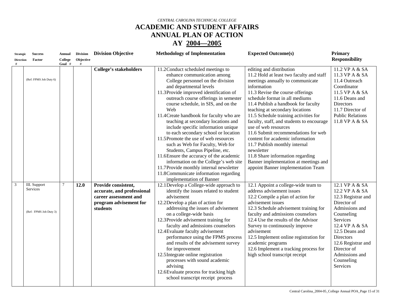## **ACADEMIC AND STUDENT AFFAIRS ANNUAL PLAN OF ACTION**

| <b>Strategic</b> | <b>Success</b>                                     | Annual  | <b>Division</b> | <b>Division Objective</b>                                                                                        | <b>Methodology of Implementation</b>                                                                                                                                                                                                                                                                                                                                                                                                                                                                                                                                                                                                                                                                                                                     | <b>Expected Outcome(s)</b>                                                                                                                                                                                                                                                                                                                                                                                                                                                                                                                                                                                                         | <b>Primary</b>                                                                                                                                                                                                                                             |
|------------------|----------------------------------------------------|---------|-----------------|------------------------------------------------------------------------------------------------------------------|----------------------------------------------------------------------------------------------------------------------------------------------------------------------------------------------------------------------------------------------------------------------------------------------------------------------------------------------------------------------------------------------------------------------------------------------------------------------------------------------------------------------------------------------------------------------------------------------------------------------------------------------------------------------------------------------------------------------------------------------------------|------------------------------------------------------------------------------------------------------------------------------------------------------------------------------------------------------------------------------------------------------------------------------------------------------------------------------------------------------------------------------------------------------------------------------------------------------------------------------------------------------------------------------------------------------------------------------------------------------------------------------------|------------------------------------------------------------------------------------------------------------------------------------------------------------------------------------------------------------------------------------------------------------|
| <b>Direction</b> | Factor                                             | College | Objective       |                                                                                                                  |                                                                                                                                                                                                                                                                                                                                                                                                                                                                                                                                                                                                                                                                                                                                                          |                                                                                                                                                                                                                                                                                                                                                                                                                                                                                                                                                                                                                                    | <b>Responsibility</b>                                                                                                                                                                                                                                      |
|                  | (Ref: FPMS Job Duty 6)                             | Goal #  | $\#$            | <b>College's stakeholders</b>                                                                                    | 11.2 Conduct scheduled meetings to<br>enhance communication among<br>College personnel on the division<br>and departmental levels<br>11.3Provide improved identification of<br>outreach course offerings in semester<br>course schedule, in SIS, and on the<br>Web<br>11.4 Create handbook for faculty who are<br>teaching at secondary locations and<br>include specific information unique<br>to each secondary school or location<br>11.5Promote the use of web resources<br>such as Web for Faculty, Web for<br>Students, Campus Pipeline, etc.<br>11.6Ensure the accuracy of the academic<br>information on the College's web site<br>11.7Provide monthly internal newsletter<br>11.8 Communicate information regarding<br>implementation of Banner | editing and distribution<br>11.2 Hold at least two faculty and staff<br>meetings annually to communicate<br>information<br>11.3 Revise the course offerings<br>schedule format in all mediums<br>11.4 Publish a handbook for faculty<br>teaching at secondary locations<br>11.5 Schedule training activities for<br>faculty, staff, and students to encourage<br>use of web resources<br>11.6 Submit recommendations for web<br>content for academic information<br>11.7 Publish monthly internal<br>newsletter<br>11.8 Share information regarding<br>Banner implementation at meetings and<br>appoint Banner implementation Team | 11.2 VP A & SA<br>11.3 VP A & SA<br>11.4 Outreach<br>Coordinator<br>11.5 VP A & SA<br>11.6 Deans and<br>Directors<br>11.7 Director of<br><b>Public Relations</b><br>11.8 VP A & SA                                                                         |
| 3                | III. Support<br>Services<br>(Ref: FPMS Job Duty 3) | 7       | 12.0            | Provide consistent,<br>accurate, and professional<br>career assessment and<br>program advisement for<br>students | 12.1 Develop a College-wide approach to<br>identify the issues related to student<br>advisement<br>12.2Develop a plan of action for<br>addressing the issues of advisement<br>on a college-wide basis<br>12.3Provide advisement training for<br>faculty and admissions counselors<br>12.4 Evaluate faculty advisement<br>performance using the FPMS process<br>and results of the advisement survey<br>for improvement<br>12.5 Integrate online registration<br>processes with sound academic<br>advising<br>12.6 Evaluate process for tracking high<br>school transcript receipt process                                                                                                                                                                | 12.1 Appoint a college-wide team to<br>address advisement issues<br>12.2 Compile a plan of action for<br>advisement issues<br>12.3 Schedule advisement training for<br>faculty and admissions counselors<br>12.4 Use the results of the Advisor<br>Survey to continuously improve<br>advisement<br>12.5 Implement online registration for<br>academic programs<br>12.6 Implement a tracking process for<br>high school transcript receipt                                                                                                                                                                                          | 12.1 VP A & SA<br>12.2 VP A & SA<br>12.3 Registrar and<br>Director of<br>Admissions and<br>Counseling<br>Services<br>12.4 VP A & SA<br>12.5 Deans and<br><b>Directors</b><br>12.6 Registrar and<br>Director of<br>Admissions and<br>Counseling<br>Services |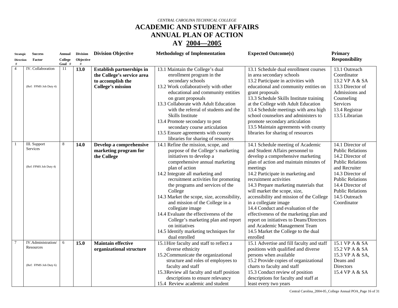# **ACADEMIC AND STUDENT AFFAIRS ANNUAL PLAN OF ACTION**

| <b>Strategic</b>    | <b>Success</b>                  | Annual       | <b>Division</b> | <b>Division Objective</b>        | <b>Methodology of Implementation</b>        | <b>Expected Outcome(s)</b>                | Primary                 |
|---------------------|---------------------------------|--------------|-----------------|----------------------------------|---------------------------------------------|-------------------------------------------|-------------------------|
| <b>Direction</b>    | Factor                          | College      | Objective       |                                  |                                             |                                           | <b>Responsibility</b>   |
| #<br>$\overline{4}$ | IV. Collaboration               | Goal #<br>11 | 13.0            |                                  |                                             |                                           | 13.1 Outreach           |
|                     |                                 |              |                 | <b>Establish partnerships in</b> | 13.1 Maintain the College's dual            | 13.1 Schedule dual enrollment courses     |                         |
|                     |                                 |              |                 | the College's service area       | enrollment program in the                   | in area secondary schools                 | Coordinator             |
|                     |                                 |              |                 | to accomplish the                | secondary schools                           | 13.2 Participate in activities with       | 13.2 VP A & SA          |
|                     | (Ref: FPMS Job Duty 4)          |              |                 | <b>College's mission</b>         | 13.2 Work collaboratively with other        | educational and community entities on     | 13.3 Director of        |
|                     |                                 |              |                 |                                  | educational and community entities          | grant proposals                           | Admissions and          |
|                     |                                 |              |                 |                                  | on grant proposals                          | 13.3 Schedule Skills Institute training   | Counseling              |
|                     |                                 |              |                 |                                  | 13.3 Collaborate with Adult Education       | at the College with Adult Education       | Services                |
|                     |                                 |              |                 |                                  | with the referral of students and the       | 13.4 Schedule meetings with area high     | 13.4 Registrar          |
|                     |                                 |              |                 |                                  | Skills Institute                            | school counselors and administers to      | 13.5 Librarian          |
|                     |                                 |              |                 |                                  | 13.4 Promote secondary to post              | promote secondary articulation            |                         |
|                     |                                 |              |                 |                                  | secondary course articulation               | 13.5 Maintain agreements with county      |                         |
|                     |                                 |              |                 |                                  | 13.5 Ensure agreements with county          | libraries for sharing of resources        |                         |
|                     |                                 |              |                 |                                  | libraries for sharing of resources          |                                           |                         |
|                     | III. Support<br>Services        | 8            | 14.0            | Develop a comprehensive          | 14.1 Refine the mission, scope, and         | 14.1 Schedule meeting of Academic         | 14.1 Director of        |
|                     |                                 |              |                 | marketing program for            | purpose of the College's marketing          | and Student Affairs personnel to          | <b>Public Relations</b> |
|                     |                                 |              |                 | the College                      | initiatives to develop a                    | develop a comprehensive marketing         | 14.2 Director of        |
|                     |                                 |              |                 |                                  | comprehensive annual marketing              | plan of action and maintain minutes of    | <b>Public Relations</b> |
|                     | (Ref: FPMS Job Duty 4)          |              |                 |                                  | plan of action                              | meetings                                  | and Recruiter           |
|                     |                                 |              |                 |                                  | 14.2 Integrate all marketing and            | 14.2 Participate in marketing and         | 14.3 Director of        |
|                     |                                 |              |                 |                                  | recruitment activities for promoting        | recruitment activities                    | <b>Public Relations</b> |
|                     |                                 |              |                 |                                  | the programs and services of the            | 14.3 Prepare marketing materials that     | 14.4 Director of        |
|                     |                                 |              |                 |                                  | College                                     | will market the scope, size,              | <b>Public Relations</b> |
|                     |                                 |              |                 |                                  | 14.3 Market the scope, size, accessibility, | accessibility and mission of the College  | 14.5 Outreach           |
|                     |                                 |              |                 |                                  | and mission of the College in a             | in a collegiate image                     | Coordinator             |
|                     |                                 |              |                 |                                  | collegiate image                            | 14.4 Conduct and evaluation of the        |                         |
|                     |                                 |              |                 |                                  | 14.4 Evaluate the effectiveness of the      | effectiveness of the marketing plan and   |                         |
|                     |                                 |              |                 |                                  | College's marketing plan and report         | report on initiatives to Deans/Directors  |                         |
|                     |                                 |              |                 |                                  | on initiatives                              | and Academic Management Team              |                         |
|                     |                                 |              |                 |                                  | 14.5 Identify marketing techniques for      | 14.5 Market the College to the dual       |                         |
|                     |                                 |              |                 |                                  | dual enrolled                               | enrolled                                  |                         |
| $\tau$              | IV.Administration/<br>Resources | 6            | 15.0            | <b>Maintain effective</b>        | 15.1 Hire faculty and staff to reflect a    | 15.1 Advertise and fill faculty and staff | 15.1 VP A & SA          |
|                     |                                 |              |                 | organizational structure         | diverse ethnicity                           | positions with qualified and diverse      | 15.2 VP A & SA          |
|                     |                                 |              |                 |                                  | 15.2Communicate the organizational          | persons when available                    | 15.3 VP A & SA,         |
|                     |                                 |              |                 |                                  | structure and roles of employees to         | 15.2 Provide copies of organizational     | Deans and               |
|                     | (Ref: FPMS Job Duty 6)          |              |                 |                                  | faculty and staff                           | charts to faculty and staff               | <b>Directors</b>        |
|                     |                                 |              |                 |                                  | 15.3 Review all faculty and staff position  | 15.3 Conduct review of position           | 15.4 VP A & SA          |
|                     |                                 |              |                 |                                  | descriptions to ensure relevancy            | descriptions for faculty and staff at     |                         |
|                     |                                 |              |                 |                                  | 15.4 Review academic and student            | least every two years                     |                         |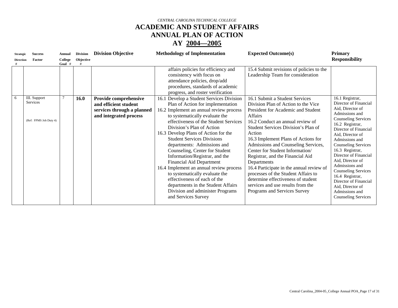## **ACADEMIC AND STUDENT AFFAIRS ANNUAL PLAN OF ACTION**

| <b>Strategic</b> | <b>Success</b>                            | Annual            | <b>Division</b>   | <b>Division Objective</b>                                                     | <b>Methodology of Implementation</b>                                                                                                                                                                                                                                                                                                                                                                                                                                                                                                                                                                                  | <b>Expected Outcome(s)</b>                                                                                                                                                                                                                                                                                                                                                                                                                                                                                                                  | <b>Primary</b>                                                                                                                                                                                                                                                                                                                                                                                                                            |
|------------------|-------------------------------------------|-------------------|-------------------|-------------------------------------------------------------------------------|-----------------------------------------------------------------------------------------------------------------------------------------------------------------------------------------------------------------------------------------------------------------------------------------------------------------------------------------------------------------------------------------------------------------------------------------------------------------------------------------------------------------------------------------------------------------------------------------------------------------------|---------------------------------------------------------------------------------------------------------------------------------------------------------------------------------------------------------------------------------------------------------------------------------------------------------------------------------------------------------------------------------------------------------------------------------------------------------------------------------------------------------------------------------------------|-------------------------------------------------------------------------------------------------------------------------------------------------------------------------------------------------------------------------------------------------------------------------------------------------------------------------------------------------------------------------------------------------------------------------------------------|
| <b>Direction</b> | Factor                                    | College<br>Goal # | Objective<br>$\#$ |                                                                               |                                                                                                                                                                                                                                                                                                                                                                                                                                                                                                                                                                                                                       |                                                                                                                                                                                                                                                                                                                                                                                                                                                                                                                                             | <b>Responsibility</b>                                                                                                                                                                                                                                                                                                                                                                                                                     |
| 6                | III. Support                              |                   | 16.0              | Provide comprehensive                                                         | affairs policies for efficiency and<br>consistency with focus on<br>attendance policies, drop/add<br>procedures, standards of academic<br>progress, and roster verification<br>16.1 Develop a Student Services Division                                                                                                                                                                                                                                                                                                                                                                                               | 15.4 Submit revisions of policies to the<br>Leadership Team for consideration<br>16.1 Submit a Student Services                                                                                                                                                                                                                                                                                                                                                                                                                             | 16.1 Registrar,                                                                                                                                                                                                                                                                                                                                                                                                                           |
|                  | <b>Services</b><br>(Ref: FPMS Job Duty 4) |                   |                   | and efficient student<br>services through a planned<br>and integrated process | Plan of Action for implementation<br>16.2 Implement an annual review process<br>to systematically evaluate the<br>effectiveness of the Student Services<br>Division's Plan of Action<br>16.3 Develop Plans of Action for the<br><b>Student Services Divisions</b><br>departments: Admissions and<br>Counseling, Center for Student<br>Information/Registrar, and the<br><b>Financial Aid Department</b><br>16.4 Implement an annual review process<br>to systematically evaluate the<br>effectiveness of each of the<br>departments in the Student Affairs<br>Division and administer Programs<br>and Services Survey | Division Plan of Action to the Vice<br>President for Academic and Student<br>Affairs<br>16.2 Conduct an annual review of<br>Student Services Division's Plan of<br>Action<br>16.3 Implement Plans of Actions for<br>Admissions and Counseling Services,<br>Center for Student Information/<br>Registrar, and the Financial Aid<br>Departments<br>16.4 Participate in the annual review of<br>processes of the Student Affairs to<br>determine effectiveness of student<br>services and use results from the<br>Programs and Services Survey | Director of Financial<br>Aid, Director of<br>Admissions and<br><b>Counseling Services</b><br>16.2 Registrar,<br>Director of Financial<br>Aid, Director of<br>Admissions and<br><b>Counseling Services</b><br>16.3 Registrar,<br>Director of Financial<br>Aid, Director of<br>Admissions and<br><b>Counseling Services</b><br>16.4 Registrar,<br>Director of Financial<br>Aid, Director of<br>Admissions and<br><b>Counseling Services</b> |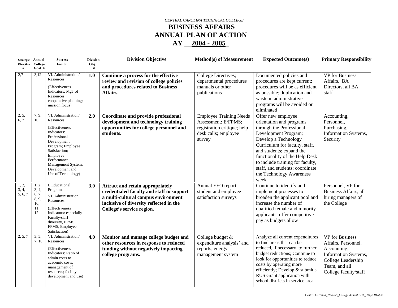## *CENTRAL CAROLINA TECHNICAL COLLEGE*  **BUSINESS AFFAIRS ANNUAL PLAN OF ACTION AY \_\_2004 - 2005\_**

| Strategic Annual<br>Direction College<br># | Goal #                                               | <b>Success</b><br>Factor                                                                                                                                                                                                          | <b>Division</b><br>Obj.<br># | <b>Division Objective</b>                                                                                                                                                                           | <b>Method(s) of Measurement</b>                                                                                        | <b>Expected Outcome(s)</b>                                                                                                                                                                                                                                                                                                            | <b>Primary Responsibility</b>                                                                                                                        |
|--------------------------------------------|------------------------------------------------------|-----------------------------------------------------------------------------------------------------------------------------------------------------------------------------------------------------------------------------------|------------------------------|-----------------------------------------------------------------------------------------------------------------------------------------------------------------------------------------------------|------------------------------------------------------------------------------------------------------------------------|---------------------------------------------------------------------------------------------------------------------------------------------------------------------------------------------------------------------------------------------------------------------------------------------------------------------------------------|------------------------------------------------------------------------------------------------------------------------------------------------------|
| 2,7                                        | 3,12                                                 | VI. Administration/<br>Resources<br>(Effectiveness)<br>Indicators: Mgt of<br>Resources:<br>cooperative planning;<br>mission focus)                                                                                                | 1.0                          | Continue a process for the effective<br>review and revision of college policies<br>and procedures related to Business<br>Affairs.                                                                   | College Directives;<br>departmental procedures<br>manuals or other<br>publications                                     | Documented policies and<br>procedures are kept current;<br>procedures will be as efficient<br>as possible; duplication and<br>waste in administrative<br>programs will be avoided or<br>eliminated                                                                                                                                    | VP for Business<br>Affairs, BA<br>Directors, all BA<br>staff                                                                                         |
| 2, 5,<br>6, 7                              | 7, 9,<br>10                                          | VI. Administration/<br>Resources<br>(Effectiveness)<br>Indicators:<br>Professional<br>Development<br>Program; Employee<br>Satisfaction;<br>Employee<br>Performance<br>Management System;<br>Development and<br>Use of Technology) | 2.0                          | Coordinate and provide professional<br>development and technology training<br>opportunities for college personnel and<br>students.                                                                  | <b>Employee Training Needs</b><br>Assessment; E/FPMS;<br>registration critique; help<br>desk calls; employee<br>survey | Offer new employee<br>orientation and programs<br>through the Professional<br>Development Program;<br>Develop a Technology<br>Curriculum for faculty, staff,<br>and students; expand the<br>functionality of the Help Desk<br>to include training for faculty,<br>staff, and students; coordinate<br>the Technology Awareness<br>week | Accounting,<br>Personnel,<br>Purchasing,<br>Information Systems,<br>Security                                                                         |
| 1, 2,<br>3, 4,<br>5, 6, 7                  | 1, 2,<br>3, 4,<br>6, 7,<br>8, 9,<br>10,<br>11,<br>12 | I. Educational<br>Programs<br>VI. Administration/<br>Resources<br>(Effectiveness)<br>Indicators: especially<br>Faculty/staff<br>diversity, EPMS,<br>FPMS, Employee<br>Satisfaction)                                               | 3.0                          | <b>Attract and retain appropriately</b><br>credentialed faculty and staff to support<br>a multi-cultural campus environment<br>inclusive of diversity reflected in the<br>College's service region. | Annual EEO report;<br>student and employee<br>satisfaction surveys                                                     | Continue to identify and<br>implement processes to<br>broaden the applicant pool and<br>increase the number of<br>qualified female and minority<br>applicants; offer competitive<br>pay as budgets allow                                                                                                                              | Personnel, VP for<br>Business Affairs, all<br>hiring managers of<br>the College                                                                      |
| 2, 5, 7                                    | 3, 5,<br>7, 10                                       | VI. Administration/<br>Resources<br>(Effectiveness)<br>Indicators: Ratio of<br>admin costs to<br>academic costs;<br>management of<br>resources; facility<br>development and use)                                                  | 4.0                          | Monitor and manage college budget and<br>other resources in response to reduced<br>funding without negatively impacting<br>college programs.                                                        | College budget &<br>expenditure analysis' and<br>reports; energy<br>management system                                  | Analyze all current expenditures<br>to find areas that can be<br>reduced, if necessary, to further<br>budget reductions; Continue to<br>look for opportunities to reduce<br>costs by operating more<br>efficiently; Develop & submit a<br>RUS Grant application with<br>school districts in service area                              | <b>VP</b> for Business<br>Affairs, Personnel,<br>Accounting,<br>Information Systems,<br>College Leadership<br>Team, and all<br>College faculty/staff |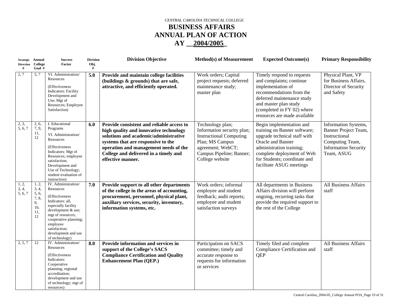## *CENTRAL CAROLINA TECHNICAL COLLEGE*  **BUSINESS AFFAIRS ANNUAL PLAN OF ACTION AY \_\_2004/2005\_**

| #                         | Strategic Annual<br>Direction College<br>Goal #            | <b>Success</b><br>Factor                                                                                                                                                                                                                 | <b>Division</b><br>Obj.<br># | <b>Division Objective</b>                                                                                                                                                                                                                                                 | <b>Method(s) of Measurement</b>                                                                                                                                         | <b>Expected Outcome(s)</b>                                                                                                                                                                                                          | <b>Primary Responsibility</b>                                                                                                 |
|---------------------------|------------------------------------------------------------|------------------------------------------------------------------------------------------------------------------------------------------------------------------------------------------------------------------------------------------|------------------------------|---------------------------------------------------------------------------------------------------------------------------------------------------------------------------------------------------------------------------------------------------------------------------|-------------------------------------------------------------------------------------------------------------------------------------------------------------------------|-------------------------------------------------------------------------------------------------------------------------------------------------------------------------------------------------------------------------------------|-------------------------------------------------------------------------------------------------------------------------------|
| 2,7                       | 5, 7                                                       | VI. Administration/<br>Resources<br>(Effectiveness)<br><b>Indicators: Facility</b><br>Development and<br>Use; Mgt of<br>Resources; Employee<br>Satisfaction)                                                                             | 5.0                          | Provide and maintain college facilities<br>(buildings & grounds) that are safe,<br>attractive, and efficiently operated.                                                                                                                                                  | Work orders; Capital<br>project requests; deferred<br>maintenance study;<br>master plan                                                                                 | Timely respond to requests<br>and complaints; continue<br>implementation of<br>recommendations from the<br>deferred maintenance study<br>and master plan study<br>(completed in FY 02) where<br>resources are made available        | Physical Plant, VP<br>for Business Affairs,<br>Director of Security<br>and Safety                                             |
| 2, 3,<br>5, 6, 7          | 2, 6,<br>7, 9,<br>11,<br>12                                | I. Educational<br>Programs<br>VI. Administration/<br>Resources<br>(Effectiveness)<br>Indicators: Mgt of<br>Resources; employee<br>satisfaction;<br>Development and<br>Use of Technology;<br>student evaluation of<br>instruction)        | 6.0                          | Provide consistent and reliable access to<br>high quality and innovative technology<br>solutions and academic/administrative<br>systems that are responsive to the<br>operation and management needs of the<br>College and delivered in a timely and<br>effective manner. | Technology plan;<br>Information security plan;<br><b>Instructional Computing</b><br>Plan; MS Campus<br>agreement; WebCT;<br>Campus Pipeline; Banner;<br>College website | Begin implementation and<br>training on Banner software;<br>upgrade technical staff with<br>Oracle and Banner<br>administration training;<br>complete deployment of Web<br>for Students; coordinate and<br>facilitate ASUG meetings | Information Systems,<br>Banner Project Team,<br>Instructional<br>Computing Team,<br><b>Information Security</b><br>Team, ASUG |
| 1, 2,<br>3, 4,<br>5, 6, 7 | 1, 2,<br>3, 4,<br>5, 6,<br>7, 8,<br>9,<br>10,<br>11,<br>12 | IV. Administration/<br>Resources<br>(Effectiveness)<br>Indicators: all,<br>especially facility<br>development & use;<br>mgt of resources;<br>cooperative planning;<br>employee<br>satisfaction;<br>development and use<br>of technology) | 7.0                          | Provide support to all other departments<br>of the college in the areas of accounting,<br>procurement, personnel, physical plant,<br>auxiliary services, security, inventory,<br>information systems, etc.                                                                | Work orders; informal<br>employee and student<br>feedback; audit reports;<br>employee and student<br>satisfaction surveys                                               | All departments in Business<br>Affairs division will perform<br>ongoing, recurring tasks that<br>provide the required support to<br>the rest of the College                                                                         | <b>All Business Affairs</b><br>staff                                                                                          |
| 2, 5, 7                   | 12                                                         | IV. Administration/<br>Resources<br>(Effectiveness)<br>Indicators:<br>Cooperative<br>planning; regional<br>accreditation;<br>development and use<br>of technology; mgt of<br>resources)                                                  | 8.0                          | <b>Provide information and services in</b><br>support of the College's SACS<br><b>Compliance Certification and Quality</b><br><b>Enhancement Plan (QEP.)</b>                                                                                                              | Participation on SACS<br>committee; timely and<br>accurate response to<br>requests for information<br>or services                                                       | Timely filed and complete<br>Compliance Certification and<br>QEP                                                                                                                                                                    | <b>All Business Affairs</b><br>staff                                                                                          |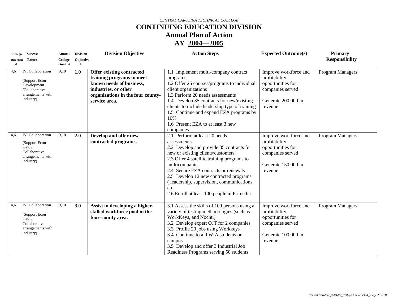# **CONTINUING EDUCATION DIVISION**

**Annual Plan of Action** 

| <b>Strategic</b>      | <b>Success</b>                                                                                         | <b>Annual</b>       | <b>Division</b> | <b>Division Objective</b>                                                                                                                                               | <b>Action Steps</b>                                                                                                                                                                                                                                                                                                                                                              | <b>Expected Outcome(s)</b>                                                                                        | Primary                 |
|-----------------------|--------------------------------------------------------------------------------------------------------|---------------------|-----------------|-------------------------------------------------------------------------------------------------------------------------------------------------------------------------|----------------------------------------------------------------------------------------------------------------------------------------------------------------------------------------------------------------------------------------------------------------------------------------------------------------------------------------------------------------------------------|-------------------------------------------------------------------------------------------------------------------|-------------------------|
| <b>Direction</b><br># | Factor                                                                                                 | College<br>$Goal$ # | Objective       |                                                                                                                                                                         |                                                                                                                                                                                                                                                                                                                                                                                  |                                                                                                                   | <b>Responsibility</b>   |
| 4,6                   | IV. Collaboration<br>(Support Econ<br>Development.<br>/Collaborative<br>arrangements with<br>industry) | 9,10                | 1.0             | <b>Offer existing contracted</b><br>training programs to meet<br>known needs of business,<br>industries, or other<br>organizations in the four county-<br>service area. | 1.1 Implement multi-company contract<br>programs<br>1.2 Offer 25 courses/programs to individual<br>client organizations<br>1.3 Perform 20 needs assessments<br>1.4 Develop 35 contracts for new/existing<br>clients to include leadership type of training<br>1.5 Continue and expand EZA programs by<br>10%<br>1.6 Present EZA to at least 3 new<br>companies                   | Improve workforce and<br>profitability<br>opportunities for<br>companies served<br>Generate 200,000 in<br>revenue | Program Managers        |
| 4,6                   | IV. Collaboration<br>(Support Econ<br>Dev. /<br>Collaborative<br>arrangements with<br>industry)        | 9,10                | 2.0             | Develop and offer new<br>contracted programs.                                                                                                                           | 2.1 Perform at least 20 needs<br>assessments<br>2.2 Develop and provide 35 contracts for<br>new or existing clients/customers<br>2.3 Offer 4 satellite training programs to<br>multicompanies<br>2.4 Secure EZA contracts or renewals<br>2.5 Develop 12 new contracted programs<br>(leadership, supervision, communications<br>etc<br>2.6 Enroll at least 100 people in Primedia | Improve workforce and<br>profitability<br>opportunities for<br>companies served<br>Generate 150,000 in<br>revenue | <b>Program Managers</b> |
| 4,6                   | IV. Collaboration<br>(Support Econ<br>Dev. /<br>Collaborative<br>arrangements with<br>industry)        | 9,10                | 3.0             | Assist in developing a higher-<br>skilled workforce pool in the<br>four-county area.                                                                                    | 3.1 Assess the skills of 100 persons using a<br>variety of testing methodologies (such as<br>WorkKeys, and Nochti)<br>3.2 Develop expert OJT for 2 companies<br>3.3 Profile 20 jobs using Workkeys<br>3.4 Continue to aid WIA students on<br>campus<br>3.5 Develop and offer 3 Industrial Job<br>Readiness Programs serving 50 students                                          | Improve workforce and<br>profitability<br>opportunities for<br>companies served<br>Generate 100,000 in<br>revenue | Program Managers        |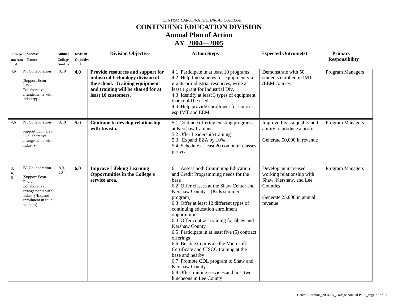# **CONTINUING EDUCATION DIVISION**

**Annual Plan of Action** 

| <b>Strategic</b><br>#  | <b>Success</b><br>Direction Factor                                                                                                       | Annual<br>College<br>Goal # | <b>Division</b><br>Objective<br># | <b>Division Objective</b>                                                                                                                                             | <b>Action Steps</b>                                                                                                                                                                                                                                                                                                                                                                                                                                                                                                                                                                                                                         | <b>Expected Outcome(s)</b>                                                                                                      | <b>Primary</b><br><b>Responsibility</b> |
|------------------------|------------------------------------------------------------------------------------------------------------------------------------------|-----------------------------|-----------------------------------|-----------------------------------------------------------------------------------------------------------------------------------------------------------------------|---------------------------------------------------------------------------------------------------------------------------------------------------------------------------------------------------------------------------------------------------------------------------------------------------------------------------------------------------------------------------------------------------------------------------------------------------------------------------------------------------------------------------------------------------------------------------------------------------------------------------------------------|---------------------------------------------------------------------------------------------------------------------------------|-----------------------------------------|
| 4,6                    | IV. Collaboration<br>(Support Econ<br>Dev. /<br>Collaborative<br>arrangements with<br>industry)                                          | 9,10                        | 4.0                               | Provide resources and support for<br>industrial technology division of<br>the school. Training equipment<br>and training will be shared for at<br>least 10 customers. | 4.1 Participate in at least 10 programs<br>4.2 Help find sources for equipment via<br>grants or industrial resources, write at<br>least 1 grant for Industrial Div.<br>4.3 Identify at least 3 types of equipment<br>that could be used<br>4.4 Help provide enrollment for courses,<br>esp IMT and EEM                                                                                                                                                                                                                                                                                                                                      | Demonstrate with 50<br>students enrolled in IMT<br>/EEM courses                                                                 | Program Managers                        |
| 4,6                    | IV. Collaboration<br>Support Econ Dev.<br>/ Collaborative<br>arrangements with<br>industry                                               | 9,10                        | 5.0                               | Continue to develop relationship<br>with Invista.                                                                                                                     | 5.1 Continue offering existing programs<br>at Kershaw Campus<br>5.2 Offer Leadership training<br>5.3 Expand EZA by 10%<br>5.4 Schedule at least 20 computer classes<br>per year                                                                                                                                                                                                                                                                                                                                                                                                                                                             | Improve Invista quality and<br>ability to produce a profit<br>Generate 50,000 in revenue                                        | Program Managers                        |
| 3,<br>4,<br>$\sqrt{6}$ | IV. Collaboration<br>(Support Econ<br>Dev. /<br>Collaborative<br>arrangements with<br>industry/Expand<br>enrollment in four<br>counties) | 8,9,<br>10                  | 6.0                               | <b>Improve Lifelong Learning</b><br><b>Opportunities in the College's</b><br>service area.                                                                            | 6.1 Assess both Continuing Education<br>and Credit Programming needs for the<br>base<br>6.2 Offer classes at the Shaw Center and<br>Kershaw County (Kids summer<br>program)<br>6.3 Offer at least 12 different types of<br>continuing education enrollment<br>opportunities<br>6.4 Offer contract training for Shaw and<br>Kershaw County<br>6.5 Participate in at least five (5) contract<br>offerings<br>6.6 Be able to provide the Microsoft<br>Certificate and CISCO training at the<br>base and nearby<br>6.7 Promote CDL program to Shaw and<br>Kershaw County<br>6.8 Offer training services and host two<br>luncheons in Lee County | Develop an increased<br>working relationship with<br>Shaw, Kershaw, and Lee<br>Counties<br>Generate 25,000 in annual<br>revenue | Program Managers                        |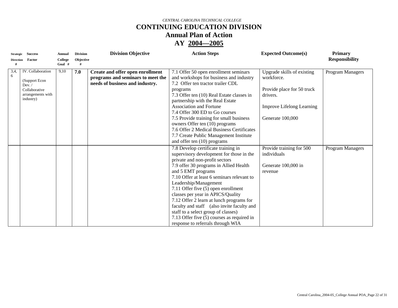# **CONTINUING EDUCATION DIVISION**

**Annual Plan of Action** 

| <b>Strategic</b>      | <b>Success</b>                                                                                           | Annual            | <b>Division</b> | <b>Division Objective</b>                                                                                | <b>Action Steps</b>                                                                                                                                                                                                                                                                                                                                                                                                                                                                                                                                                                     | <b>Expected Outcome(s)</b>                                                                                                                 | <b>Primary</b>        |
|-----------------------|----------------------------------------------------------------------------------------------------------|-------------------|-----------------|----------------------------------------------------------------------------------------------------------|-----------------------------------------------------------------------------------------------------------------------------------------------------------------------------------------------------------------------------------------------------------------------------------------------------------------------------------------------------------------------------------------------------------------------------------------------------------------------------------------------------------------------------------------------------------------------------------------|--------------------------------------------------------------------------------------------------------------------------------------------|-----------------------|
| <b>Direction</b><br># | Factor                                                                                                   | College<br>Goal # | Objective       |                                                                                                          |                                                                                                                                                                                                                                                                                                                                                                                                                                                                                                                                                                                         |                                                                                                                                            | <b>Responsibility</b> |
| 3,4,<br>6             | IV. Collaboration<br>(Support Econ<br>Dev. $\sqrt{ }$<br>Collaborative<br>arrangements with<br>industry) | 9,10              | 7.0             | Create and offer open enrollment<br>programs and seminars to meet the<br>needs of business and industry. | 7.1 Offer 50 open enrollment seminars<br>and workshops for business and industry<br>7.2 Offer ten tractor trailer CDL<br>programs<br>7.3 Offer ten (10) Real Estate classes in<br>partnership with the Real Estate<br><b>Association and Fortune</b><br>7.4 Offer 300 ED to Go courses<br>7.5 Provide training for small business<br>owners Offer ten (10) programs<br>7.6 Offer 2 Medical Business Certificates<br>7.7 Create Public Management Institute                                                                                                                              | Upgrade skills of existing<br>workforce.<br>Provide place for 50 truck<br>drivers.<br><b>Improve Lifelong Learning</b><br>Generate 100,000 | Program Managers      |
|                       |                                                                                                          |                   |                 |                                                                                                          | and offer ten (10) programs<br>7.8 Develop certificate training in<br>supervisory development for those in the<br>private and non-profit sectors<br>7.9 offer 30 programs in Allied Health<br>and 5 EMT programs<br>7.10 Offer at least 6 seminars relevant to<br>Leadership/Management<br>7.11 Offer five (5) open enrollment<br>classes per year in APICS/Quality<br>7.12 Offer 2 learn at lunch programs for<br>faculty and staff (also invite faculty and<br>staff to a select group of classes)<br>7.13 Offer five (5) courses as required in<br>response to referrals through WIA | Provide training for 500<br>individuals<br>Generate 100,000 in<br>revenue                                                                  | Program Managers      |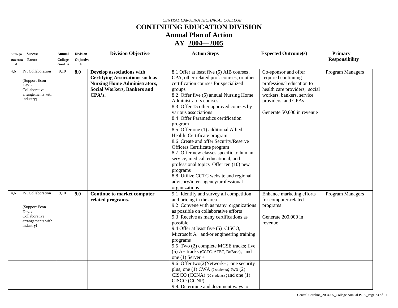# **CONTINUING EDUCATION DIVISION**

**Annual Plan of Action** 

| <b>Strategic</b>      | <b>Success</b>                                                                                  | Annual                   | <b>Division</b> | <b>Division Objective</b>                                                                                                                                  | <b>Action Steps</b>                                                                                                                                                                                                                                                                                                                                                                                                                                                                                                                                                                                                                                                                                                    | <b>Expected Outcome(s)</b>                                                                                                                                                                  | <b>Primary</b>        |
|-----------------------|-------------------------------------------------------------------------------------------------|--------------------------|-----------------|------------------------------------------------------------------------------------------------------------------------------------------------------------|------------------------------------------------------------------------------------------------------------------------------------------------------------------------------------------------------------------------------------------------------------------------------------------------------------------------------------------------------------------------------------------------------------------------------------------------------------------------------------------------------------------------------------------------------------------------------------------------------------------------------------------------------------------------------------------------------------------------|---------------------------------------------------------------------------------------------------------------------------------------------------------------------------------------------|-----------------------|
| <b>Direction</b><br># | Factor                                                                                          | <b>College</b><br>Goal # | Objective<br>#  |                                                                                                                                                            |                                                                                                                                                                                                                                                                                                                                                                                                                                                                                                                                                                                                                                                                                                                        |                                                                                                                                                                                             | <b>Responsibility</b> |
| 4,6                   | IV. Collaboration<br>(Support Econ<br>Dev. /<br>Collaborative<br>arrangements with<br>industry) | 9,10                     | 8.0             | Develop associations with<br><b>Certifying Associations such as</b><br><b>Nursing Home Administrators,</b><br><b>Social Workers, Bankers and</b><br>CPA's. | 8.1 Offer at least five (5) AIB courses,<br>CPA, other related prof. courses, or other<br>certification courses for specialized<br>groups<br>8.2 Offer five (5) annual Nursing Home<br>Administrators courses<br>8.3 Offer 15 other approved courses by<br>various associations<br>8.4 Offer Paramedics certification<br>program<br>8.5 Offer one (1) additional Allied<br>Health Certificate program<br>8.6 Create and offer Security/Reserve<br>Officers Certificate program<br>8.7 Offer new classes specific to human<br>service, medical, educational, and<br>professional topics Offer ten (10) new<br>programs<br>8.8 Utilize CCTC website and regional<br>advisory/inter- agency/professional<br>organizations | Co-sponsor and offer<br>required continuing<br>professional education to<br>health care providers, social<br>workers, bankers, service<br>providers, and CPAs<br>Generate 50,000 in revenue | Program Managers      |
| 4,6                   | IV. Collaboration<br>(Support Econ<br>Dev. /<br>Collaborative<br>arrangements with<br>industry) | 9,10                     | 9.0             | <b>Continue to market computer</b><br>related programs.                                                                                                    | 9.1 Identify and survey all competition<br>and pricing in the area<br>9.2 Convene with as many organizations<br>as possible on collaborative efforts<br>9.3 Receive as many certifications as<br>possible<br>9.4 Offer at least five (5) CISCO,<br>Microsoft A+ and/or engineering training<br>programs<br>9.5 Two (2) complete MCSE tracks; five<br>(5) A+ tracks (CCTC, ATEC, DuBose); and<br>one (1) Server +<br>9.6 Offer two(2)Network+; one security<br>plus; one $(1)$ CWA $(7 \text{ students})$ ; two $(2)$<br>CISCO (CCNA) (20 students) ;and one (1)<br>CISCO (CCNP)<br>9.9. Determine and document ways to                                                                                                 | Enhance marketing efforts<br>for computer-related<br>programs<br>Generate 200,000 in<br>revenue                                                                                             | Program Managers      |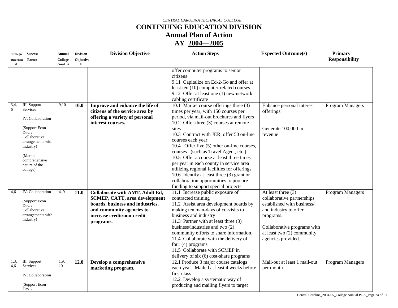# **CONTINUING EDUCATION DIVISION**

**Annual Plan of Action** 

| <b>Strategic</b> | <b>Success</b>                     | Annual  | <b>Division</b> | <b>Division Objective</b>            | <b>Action Steps</b>                         | <b>Expected Outcome(s)</b>   | <b>Primary</b>          |
|------------------|------------------------------------|---------|-----------------|--------------------------------------|---------------------------------------------|------------------------------|-------------------------|
| <b>Direction</b> | Factor                             | College | Objective       |                                      |                                             |                              | <b>Responsibility</b>   |
| #                |                                    | Goal #  | #               |                                      |                                             |                              |                         |
|                  |                                    |         |                 |                                      | offer computer programs to senior           |                              |                         |
|                  |                                    |         |                 |                                      | citizens                                    |                              |                         |
|                  |                                    |         |                 |                                      | 9.11 Capitalize on Ed-2-Go and offer at     |                              |                         |
|                  |                                    |         |                 |                                      | least ten (10) computer-related courses     |                              |                         |
|                  |                                    |         |                 |                                      | 9.12 Offer at least one (1) new network     |                              |                         |
|                  |                                    |         |                 |                                      | cabling certificate                         |                              |                         |
| 3,4,             | <b>III.</b> Support                | 9,10    | 10.0            | Improve and enhance the life of      | 10.1 Market course offerings three (3)      | Enhance personal interest    | Program Managers        |
| 6                | Services                           |         |                 | citizens of the service area by      | times per year, with 150 courses per        | offerings                    |                         |
|                  | <b>IV.</b> Collaboration           |         |                 | offering a variety of personal       | period, via mail-out brochures and flyers   |                              |                         |
|                  |                                    |         |                 | interest courses.                    | 10.2 Offer three (3) courses at remote      |                              |                         |
|                  | (Support Econ                      |         |                 |                                      | sites                                       | Generate 100,000 in          |                         |
|                  | Dev. /                             |         |                 |                                      | 10.3 Contract with JER; offer 50 on-line    | revenue                      |                         |
|                  | Collaborative<br>arrangements with |         |                 |                                      | courses each year                           |                              |                         |
|                  | industry)                          |         |                 |                                      | 10.4 Offer five (5) other on-line courses,  |                              |                         |
|                  |                                    |         |                 |                                      | courses (such as Travel Agent, etc.)        |                              |                         |
|                  | (Market)                           |         |                 |                                      | 10.5 Offer a course at least three times    |                              |                         |
|                  | comprehensive<br>nature of the     |         |                 |                                      | per year in each county in service area     |                              |                         |
|                  | college)                           |         |                 |                                      | utilizing regional facilities for offerings |                              |                         |
|                  |                                    |         |                 |                                      | 10.6 Identify at least three (3) grant or   |                              |                         |
|                  |                                    |         |                 |                                      | collaboration opportunities to procure      |                              |                         |
|                  |                                    |         |                 |                                      | funding to support special projects         |                              |                         |
| 4,6              | IV. Collaboration                  | 4.9     | 11.0            | Collaborate with AMT, Adult Ed,      | 11.1 Increase public exposure of            | At least three (3)           | <b>Program Managers</b> |
|                  | (Support Econ                      |         |                 | <b>SCMEP, CATT, area development</b> | contracted training                         | collaborative partnerships   |                         |
|                  | Dev. /                             |         |                 | boards, business and industries,     | 11.2 Assist area development boards by      | established with business/   |                         |
|                  | Collaborative                      |         |                 | and community agencies to            | making ten man-days of co-visits to         | and industry to offer        |                         |
|                  | arrangements with                  |         |                 | increase credit/non-credit           | business and industry                       | programs.                    |                         |
|                  | industry)                          |         |                 | programs.                            | 11.3 Partner with at least three (3)        |                              |                         |
|                  |                                    |         |                 |                                      | business/industries and two (2)             | Collaborative programs with  |                         |
|                  |                                    |         |                 |                                      | community efforts to share information.     | at least two $(2)$ community |                         |
|                  |                                    |         |                 |                                      | 11.4 Collaborate with the delivery of       | agencies provided.           |                         |
|                  |                                    |         |                 |                                      | four $(4)$ programs                         |                              |                         |
|                  |                                    |         |                 |                                      | 11.5 Collaborate with SCMEP in              |                              |                         |
|                  |                                    |         |                 |                                      | delivery of six (6) cost-share programs     |                              |                         |
| 1,3,             | <b>III.</b> Support                | 1,9,    | 12.0            | Develop a comprehensive              | 12.1 Produce 3 major course catalogs        | Mail-out at least 1 mail-out | <b>Program Managers</b> |
| 4,6              | Services                           | 10      |                 | marketing program.                   | each year. Mailed at least 4 weeks before   | per month                    |                         |
|                  | IV. Collaboration                  |         |                 |                                      | first class                                 |                              |                         |
|                  |                                    |         |                 |                                      | 12.2 Develop a systematic way of            |                              |                         |
|                  | (Support Econ<br>Dev. $\sqrt{ }$   |         |                 |                                      | producing and mailing flyers to target      |                              |                         |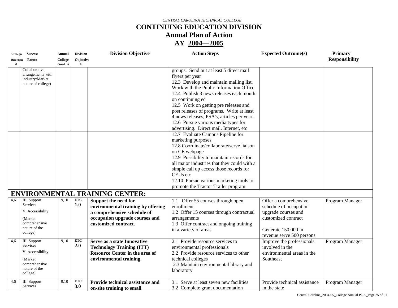# **CONTINUING EDUCATION DIVISION**

**Annual Plan of Action** 

| <b>Strategic</b> | <b>Success</b>                       | Annual  | <b>Division</b> | <b>Division Objective</b>             | <b>Action Steps</b>                         | <b>Expected Outcome(s)</b>   | <b>Primary</b>        |
|------------------|--------------------------------------|---------|-----------------|---------------------------------------|---------------------------------------------|------------------------------|-----------------------|
| <b>Direction</b> | Factor                               | College | Objective       |                                       |                                             |                              | <b>Responsibility</b> |
|                  |                                      | Goal #  |                 |                                       |                                             |                              |                       |
|                  | Collaborative                        |         |                 |                                       | groups. Send out at least 5 direct mail     |                              |                       |
|                  | arrangements with<br>industry/Market |         |                 |                                       | flyers per year                             |                              |                       |
|                  | nature of college)                   |         |                 |                                       | 12.3 Develop and maintain mailing list.     |                              |                       |
|                  |                                      |         |                 |                                       | Work with the Public Information Office     |                              |                       |
|                  |                                      |         |                 |                                       | 12.4 Publish 3 news releases each month     |                              |                       |
|                  |                                      |         |                 |                                       | on continuing ed                            |                              |                       |
|                  |                                      |         |                 |                                       | 12.5 Work on getting pre releases and       |                              |                       |
|                  |                                      |         |                 |                                       | post releases of programs. Write at least   |                              |                       |
|                  |                                      |         |                 |                                       | 4 news releases, PSA's, articles per year.  |                              |                       |
|                  |                                      |         |                 |                                       | 12.6 Pursue various media types for         |                              |                       |
|                  |                                      |         |                 |                                       | advertising. Direct mail, Internet, etc     |                              |                       |
|                  |                                      |         |                 |                                       | 12.7 Evaluate Campus Pipeline for           |                              |                       |
|                  |                                      |         |                 |                                       | marketing purposes.                         |                              |                       |
|                  |                                      |         |                 |                                       | 12.8 Coordinate/collaborate/serve liaison   |                              |                       |
|                  |                                      |         |                 |                                       | on CE webpage                               |                              |                       |
|                  |                                      |         |                 |                                       | 12.9 Possibility to maintain records for    |                              |                       |
|                  |                                      |         |                 |                                       | all major industries that they could with a |                              |                       |
|                  |                                      |         |                 |                                       | simple call up access those records for     |                              |                       |
|                  |                                      |         |                 |                                       | CEUs etc                                    |                              |                       |
|                  |                                      |         |                 |                                       | 12.10 Pursue various marketing tools to     |                              |                       |
|                  |                                      |         |                 |                                       | promote the Tractor Trailer program         |                              |                       |
|                  |                                      |         |                 | <b>ENVIRONMENTAL TRAINING CENTER:</b> |                                             |                              |                       |
| 4,6              | III. Support                         | 9.10    | <b>ETC</b>      | Support the need for                  | Offer 55 courses through open<br>1.1        | Offer a comprehensive        | Program Manager       |
|                  | Services                             |         | 1.0             | environmental training by offering    | enrollment                                  | schedule of occupation       |                       |
|                  | V. Accessibility                     |         |                 | a comprehensive schedule of           | 1.2 Offer 15 courses through contractual    | upgrade courses and          |                       |
|                  | (Market)                             |         |                 | occupation upgrade courses and        | arrangements                                | customized contract          |                       |
|                  | comprehensive                        |         |                 | customized contract.                  | 1.3 Offer contract and ongoing training     |                              |                       |
|                  | nature of the                        |         |                 |                                       | in a variety of areas                       | Generate 150,000 in          |                       |
|                  | college)                             |         |                 |                                       |                                             | revenue serve 500 persons    |                       |
| 4,6              | III. Support                         | 9.10    | <b>ETC</b>      | Serve as a state Innovative           | 2.1 Provide resource services to            | Improve the professionals    | Program Manager       |
|                  | Services                             |         | 2.0             | <b>Technology Training (ITT)</b>      | environmental professionals                 | involved in the              |                       |
|                  | V. Accessibility                     |         |                 | <b>Resource Center in the area of</b> | 2.2 Provide resource services to other      | environmental areas in the   |                       |
|                  | (Market)                             |         |                 | environmental training.               | technical colleges                          | Southeast                    |                       |
|                  | comprehensive                        |         |                 |                                       | 2.3 Maintain environmental library and      |                              |                       |
|                  | nature of the                        |         |                 |                                       | laboratory                                  |                              |                       |
|                  | college)                             |         |                 |                                       |                                             |                              |                       |
| 4,6              | III. Support                         | 9,10    | ETC             | Provide technical assistance and      | 3.1 Serve at least seven new facilities     | Provide technical assistance | Program Manager       |
|                  | Services                             |         | 3.0             | on-site training to small             | 3.2 Complete grant documentation            | in the state                 |                       |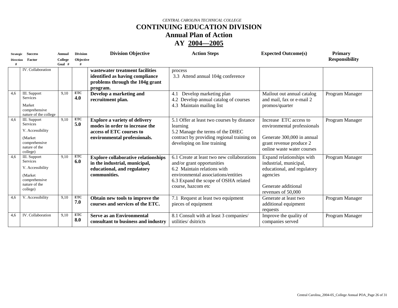# **CONTINUING EDUCATION DIVISION**

**Annual Plan of Action** 

| <b>Strategic</b> | <b>Success</b>                                                                                                | Annual              | <b>Division</b>   | <b>Division Objective</b>                                                                                                          | <b>Action Steps</b>                                                                                                                                                                                          | <b>Expected Outcome(s)</b>                                                                                                                   | <b>Primary</b>        |
|------------------|---------------------------------------------------------------------------------------------------------------|---------------------|-------------------|------------------------------------------------------------------------------------------------------------------------------------|--------------------------------------------------------------------------------------------------------------------------------------------------------------------------------------------------------------|----------------------------------------------------------------------------------------------------------------------------------------------|-----------------------|
| <b>Direction</b> | Factor                                                                                                        | College<br>Goal $#$ | Objective         |                                                                                                                                    |                                                                                                                                                                                                              |                                                                                                                                              | <b>Responsibility</b> |
|                  | <b>IV.</b> Collaboration                                                                                      |                     |                   | wastewater treatment facilities<br>identified as having compliance<br>problems through the 104g grant<br>program.                  | process<br>3.3 Attend annual 104g conference                                                                                                                                                                 |                                                                                                                                              |                       |
| 4,6              | III. Support<br><b>Services</b><br>Market<br>comprehensive<br>nature of the college                           | 9,10                | ETC<br>4.0        | Develop a marketing and<br>recruitment plan.                                                                                       | Develop marketing plan<br>4.1<br>4.2 Develop annual catalog of courses<br>4.3 Maintain mailing list                                                                                                          | Mailout out annual catalog<br>and mail, fax or e-mail 2<br>promos/quarter                                                                    | Program Manager       |
| 4,6              | III. Support<br>Services<br>V. Accessibility<br>(Market)<br>comprehensive<br>nature of the<br>college)        | 9.10                | <b>ETC</b><br>5.0 | <b>Explore a variety of delivery</b><br>modes in order to increase the<br>access of ETC courses to<br>environmental professionals. | 5.1 Offer at least two courses by distance<br>learning<br>5.2 Manage the terms of the DHEC<br>contract by providing regional training on<br>developing on line training                                      | Increase ETC access to<br>environmental professionals<br>Generate 300,000 in annual<br>grant revenue produce 2<br>online waste water courses | Program Manager       |
| 4,6              | III. Support<br><b>Services</b><br>V. Accessibility<br>(Market)<br>comprehensive<br>nature of the<br>college) | 9.10                | <b>ETC</b><br>6.0 | <b>Explore collaborative relationships</b><br>in the industrial, municipal,<br>educational, and regulatory<br>communities.         | 6.1 Create at least two new collaborations<br>and/or grant opportunities<br>6.2 Maintain relations with<br>environmental associations/entities<br>6.3 Expand the scope of OSHA related<br>course, hazcom etc | Expand relationships with<br>industrial, municipal,<br>educational, and regulatory<br>agencies<br>Generate additional<br>revenues of 50,000  | Program Manager       |
| 4,6              | V. Accessibility                                                                                              | 9,10                | <b>ETC</b><br>7.0 | Obtain new tools to improve the<br>courses and services of the ETC.                                                                | 7.1 Request at least two equipment<br>pieces of equipment                                                                                                                                                    | Generate at least two<br>additional equipment<br>requests                                                                                    | Program Manager       |
| 4,6              | IV. Collaboration                                                                                             | 9,10                | <b>ETC</b><br>8.0 | <b>Serve as an Environmental</b><br>consultant to business and industry                                                            | 8.1 Consult with at least 3 companies/<br>utilities/ dsitricts                                                                                                                                               | Improve the quality of<br>companies served                                                                                                   | Program Manager       |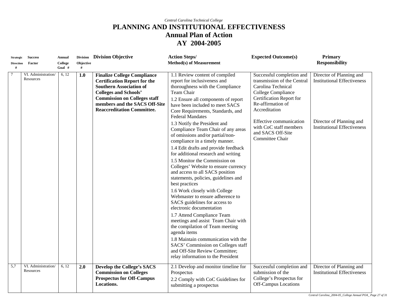| <b>Strategic</b> | <b>Success</b>                   | <b>Annual</b>      |           | Division Division Objective                                                                                                                                                                                                                              | <b>Action Steps/</b>                                                                                                                                                                                                                                                                                                                                                                                                                                                                                                                                                                                                                                                                                                                                                                                                                                                                                                                                         | <b>Expected Outcome(s)</b>                                                                                                                                                                                                                                          | <b>Primary</b>                                                                                                                   |
|------------------|----------------------------------|--------------------|-----------|----------------------------------------------------------------------------------------------------------------------------------------------------------------------------------------------------------------------------------------------------------|--------------------------------------------------------------------------------------------------------------------------------------------------------------------------------------------------------------------------------------------------------------------------------------------------------------------------------------------------------------------------------------------------------------------------------------------------------------------------------------------------------------------------------------------------------------------------------------------------------------------------------------------------------------------------------------------------------------------------------------------------------------------------------------------------------------------------------------------------------------------------------------------------------------------------------------------------------------|---------------------------------------------------------------------------------------------------------------------------------------------------------------------------------------------------------------------------------------------------------------------|----------------------------------------------------------------------------------------------------------------------------------|
| <b>Direction</b> | Factor                           | College            | Objective |                                                                                                                                                                                                                                                          | <b>Method(s) of Measurement</b>                                                                                                                                                                                                                                                                                                                                                                                                                                                                                                                                                                                                                                                                                                                                                                                                                                                                                                                              |                                                                                                                                                                                                                                                                     | <b>Responsibility</b>                                                                                                            |
| #                |                                  | Goal #             | #         |                                                                                                                                                                                                                                                          |                                                                                                                                                                                                                                                                                                                                                                                                                                                                                                                                                                                                                                                                                                                                                                                                                                                                                                                                                              |                                                                                                                                                                                                                                                                     |                                                                                                                                  |
| $\tau$           | VI. Administration/<br>Resources | 6, 12              | 1.0       | <b>Finalize College Compliance</b><br><b>Certification Report for the</b><br><b>Southern Association of</b><br><b>Colleges and Schools'</b><br><b>Commission on Colleges staff</b><br>members and the SACS Off-Site<br><b>Reaccreditation Committee.</b> | 1.1 Review content of compiled<br>report for inclusiveness and<br>thoroughness with the Compliance<br>Team Chair<br>1.2 Ensure all components of report<br>have been included to meet SACS<br>Core Requirements, Standards, and<br><b>Federal Mandates</b><br>1.3 Notify the President and<br>Compliance Team Chair of any areas<br>of omissions and/or partial/non-<br>compliance in a timely manner.<br>1.4 Edit drafts and provide feedback<br>for additional research and writing<br>1.5 Monitor the Commission on<br>Colleges' Website to ensure currency<br>and access to all SACS position<br>statements, policies, guidelines and<br>best practices<br>1.6 Work closely with College<br>Webmaster to ensure adherence to<br>SACS guidelines for access to<br>electronic documentation<br>1.7 Attend Compliance Team<br>meetings and assist Team Chair with<br>the compilation of Team meeting<br>agenda items<br>1.8 Maintain communication with the | Successful completion and<br>transmission of the Central<br>Carolina Technical<br>College Compliance<br>Certification Report for<br>Re-affirmation of<br>Accreditation<br>Effective communication<br>with CoC staff members<br>and SACS Off-Site<br>Committee Chair | Director of Planning and<br><b>Institutional Effectiveness</b><br>Director of Planning and<br><b>Institutional Effectiveness</b> |
|                  |                                  |                    |           |                                                                                                                                                                                                                                                          | SACS' Commission on Colleges staff<br>and Off-Site Review Committee;<br>relay information to the President                                                                                                                                                                                                                                                                                                                                                                                                                                                                                                                                                                                                                                                                                                                                                                                                                                                   |                                                                                                                                                                                                                                                                     |                                                                                                                                  |
| $\overline{5,7}$ | VI. Administration/<br>Resources | $\overline{6, 12}$ | 2.0       | Develop the College's SACS<br><b>Commission on Colleges</b><br><b>Prospectus for Off-Campus</b><br>Locations.                                                                                                                                            | 2.1 Develop and monitor timeline for<br>Prospectus<br>2.2 Comply with CoC Guidelines for<br>submitting a prospectus                                                                                                                                                                                                                                                                                                                                                                                                                                                                                                                                                                                                                                                                                                                                                                                                                                          | Successful completion and<br>submission of the<br>College's Prospectus for<br>Off-Campus Locations                                                                                                                                                                  | Director of Planning and<br><b>Institutional Effectiveness</b>                                                                   |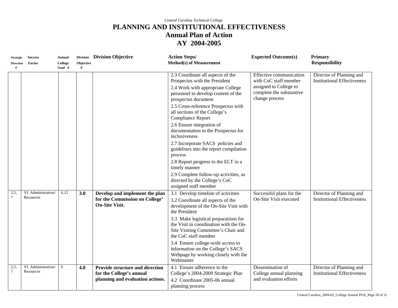| <b>Strategic</b><br><b>Direction</b><br># | <b>Success</b><br>Factor         | <b>Annual</b><br>College<br>Goal # | Objective<br># | Division Division Objective                                                                            | <b>Action Steps/</b><br><b>Method(s) of Measurement</b>                                                                                                                                                                                                                                                                                                                                                          | <b>Expected Outcome(s)</b>                                                                                               | Primary<br><b>Responsibility</b>                               |
|-------------------------------------------|----------------------------------|------------------------------------|----------------|--------------------------------------------------------------------------------------------------------|------------------------------------------------------------------------------------------------------------------------------------------------------------------------------------------------------------------------------------------------------------------------------------------------------------------------------------------------------------------------------------------------------------------|--------------------------------------------------------------------------------------------------------------------------|----------------------------------------------------------------|
|                                           |                                  |                                    |                |                                                                                                        | 2.3 Coordinate all aspects of the<br>Prospectus with the President<br>2.4 Work with appropriate College<br>personnel to develop content of the<br>prospectus document<br>2.5 Cross-reference Prospectus with<br>all sections of the College's<br><b>Compliance Report</b><br>2.6 Ensure integration of<br>documentation in the Prospectus for<br>inclusiveness<br>2.7 Incorporate SACS policies and              | Effective communication<br>with CoC staff member<br>assigned to College to<br>complete the substantive<br>change process | Director of Planning and<br><b>Institutional Effectiveness</b> |
|                                           |                                  |                                    |                |                                                                                                        | guidelines into the report compilation<br>process<br>2.8 Report progress to the ELT in a<br>timely manner<br>2.9 Complete follow-up activities, as<br>directed by the College's CoC<br>assigned staff member                                                                                                                                                                                                     |                                                                                                                          |                                                                |
| 2,5,<br>$\tau$                            | VI. Administration/<br>Resources | 6,12                               | 3.0            | Develop and implement the plan<br>for the Commission on College'<br><b>On-Site Visit.</b>              | 3.1 Develop timeline of activities<br>3.2 Coordinate all aspects of the<br>development of the On-Site Visit with<br>the President<br>3.3 Make logistical preparations for<br>the Visit in coordination with the On-<br>Site Visiting Committee's Chair and<br>the CoC staff member<br>3.4 Ensure college-wide access to<br>information on the College's SACS<br>Webpage by working closely with the<br>Webmaster | Successful plans for the<br>On-Site Visit executed                                                                       | Director of Planning and<br><b>Institutional Effectiveness</b> |
| 2,5,<br>$\overline{7}$                    | VI. Administration/<br>Resources | 6                                  | 4.0            | <b>Provide structure and direction</b><br>for the College's annual<br>planning and evaluation actions. | 4.1 Ensure adherence to the<br>College's 2004-2009 Strategic Plan<br>4.2 Coordinate 2005-06 annual<br>planning process                                                                                                                                                                                                                                                                                           | Dissemination of<br>College annual planning<br>and evaluation efforts                                                    | Director of Planning and<br><b>Institutional Effectiveness</b> |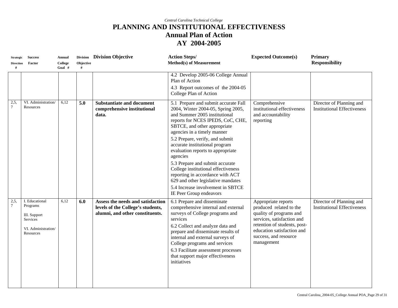| <b>Strategic</b><br><b>Direction</b><br># | <b>Success</b><br>Factor                                                                   | <b>Annual</b><br>College<br>Goal # | Objective<br># | Division Division Objective                                                                               | <b>Action Steps/</b><br><b>Method(s)</b> of Measurement                                                                                                                                                                                                                                                                                                                                                                                                                                                                                                   | <b>Expected Outcome(s)</b>                                                                                                                                                                                   | <b>Primary</b><br><b>Responsibility</b>                        |
|-------------------------------------------|--------------------------------------------------------------------------------------------|------------------------------------|----------------|-----------------------------------------------------------------------------------------------------------|-----------------------------------------------------------------------------------------------------------------------------------------------------------------------------------------------------------------------------------------------------------------------------------------------------------------------------------------------------------------------------------------------------------------------------------------------------------------------------------------------------------------------------------------------------------|--------------------------------------------------------------------------------------------------------------------------------------------------------------------------------------------------------------|----------------------------------------------------------------|
|                                           |                                                                                            |                                    |                |                                                                                                           | 4.2 Develop 2005-06 College Annual<br>Plan of Action<br>4.3 Report outcomes of the 2004-05<br>College Plan of Action                                                                                                                                                                                                                                                                                                                                                                                                                                      |                                                                                                                                                                                                              |                                                                |
| 2,5,<br>$7\phantom{.0}$                   | VI. Administration/<br>Resources                                                           | 6,12                               | 5.0            | <b>Substantiate and document</b><br>comprehensive institutional<br>data.                                  | 5.1 Prepare and submit accurate Fall<br>2004, Winter 2004-05, Spring 2005,<br>and Summer 2005 institutional<br>reports for NCES IPEDS, CoC, CHE,<br>SBTCE, and other appropriate<br>agencies in a timely manner<br>5.2 Prepare, verify, and submit<br>accurate institutional program<br>evaluation reports to appropriate<br>agencies<br>5.3 Prepare and submit accurate<br>College institutional effectiveness<br>reporting in accordance with ACT<br>629 and other legislative mandates<br>5.4 Increase involvement in SBTCE<br>IE Peer Group endeavors | Comprehensive<br>institutional effectiveness<br>and accountability<br>reporting                                                                                                                              | Director of Planning and<br><b>Institutional Effectiveness</b> |
| 2,5,<br>$\tau$                            | I. Educational<br>Programs<br>III. Support<br>Services<br>VI. Administration/<br>Resources | 6,12                               | 6.0            | Assess the needs and satisfaction<br>levels of the College's students,<br>alumni, and other constituents. | 6.1 Prepare and disseminate<br>comprehensive internal and external<br>surveys of College programs and<br>services<br>6.2 Collect and analyze data and<br>prepare and disseminate results of<br>internal and external surveys of<br>College programs and services<br>6.3 Facilitate assessment processes<br>that support major effectiveness<br>initiatives                                                                                                                                                                                                | Appropriate reports<br>produced related to the<br>quality of programs and<br>services, satisfaction and<br>retention of students, post-<br>education satisfaction and<br>success, and resource<br>management | Director of Planning and<br><b>Institutional Effectiveness</b> |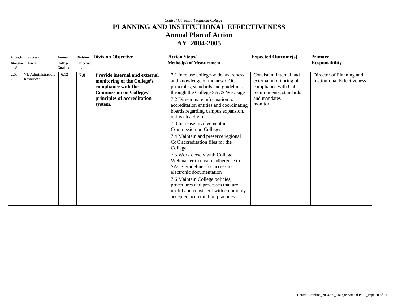| <b>Strategic</b><br><b>Direction</b> | <b>Success</b><br>Factor         | <b>Annual</b><br>College<br>Goal # | Objective | Division Division Objective                                                                                                                                     | <b>Action Steps/</b><br><b>Method(s) of Measurement</b>                                                                                                                                                                                                                                                                                                                                                                                                                                                                                                                                                                                                                                                                           | <b>Expected Outcome(s)</b>                                                                                                     | <b>Primary</b><br><b>Responsibility</b>                        |
|--------------------------------------|----------------------------------|------------------------------------|-----------|-----------------------------------------------------------------------------------------------------------------------------------------------------------------|-----------------------------------------------------------------------------------------------------------------------------------------------------------------------------------------------------------------------------------------------------------------------------------------------------------------------------------------------------------------------------------------------------------------------------------------------------------------------------------------------------------------------------------------------------------------------------------------------------------------------------------------------------------------------------------------------------------------------------------|--------------------------------------------------------------------------------------------------------------------------------|----------------------------------------------------------------|
| 2,5                                  | VI. Administration/<br>Resources | 6,12                               | 7.0       | Provide internal and external<br>monitoring of the College's<br>compliance with the<br><b>Commission on Colleges'</b><br>principles of accreditation<br>system. | 7.1 Increase college-wide awareness<br>and knowledge of the new COC<br>principles, standards and guidelines<br>through the College SACS Webpage<br>7.2 Disseminate information to<br>accreditation entities and coordinating<br>boards regarding campus expansion,<br>outreach activities<br>7.3 Increase involvement in<br><b>Commission on Colleges</b><br>7.4 Maintain and preserve regional<br>CoC accreditation files for the<br>College<br>7.5 Work closely with College<br>Webmaster to ensure adherence to<br>SACS guidelines for access to<br>electronic documentation<br>7.6 Maintain College policies,<br>procedures and processes that are<br>useful and consistent with commonly<br>accepted accreditation practices | Consistent internal and<br>external monitoring of<br>compliance with CoC<br>requirements, standards<br>and mandates<br>monitor | Director of Planning and<br><b>Institutional Effectiveness</b> |